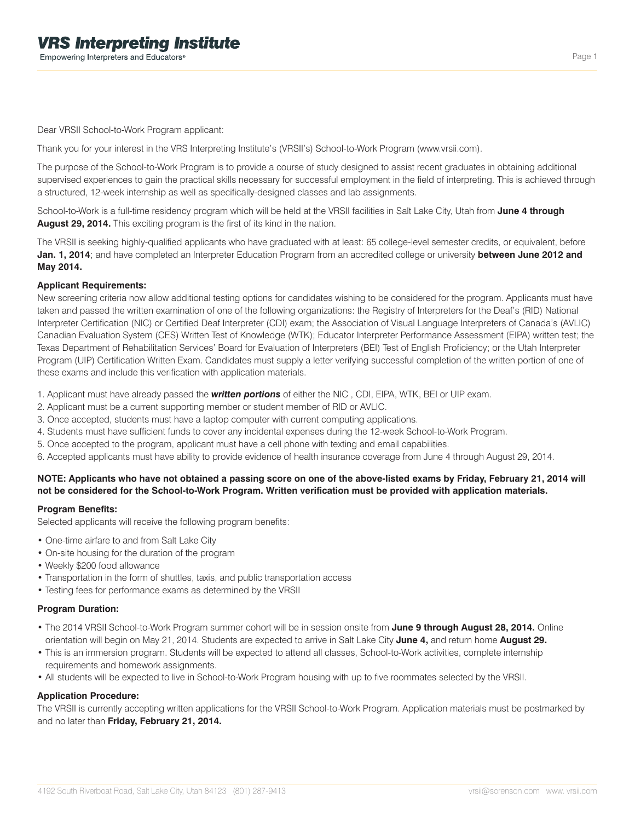Dear VRSII School-to-Work Program applicant:

Thank you for your interest in the VRS Interpreting Institute's (VRSII's) School-to-Work Program (www.vrsii.com).

The purpose of the School-to-Work Program is to provide a course of study designed to assist recent graduates in obtaining additional supervised experiences to gain the practical skills necessary for successful employment in the field of interpreting. This is achieved through a structured, 12-week internship as well as specifically-designed classes and lab assignments.

School-to-Work is a full-time residency program which will be held at the VRSII facilities in Salt Lake City, Utah from **June 4 through August 29, 2014.** This exciting program is the first of its kind in the nation.

The VRSII is seeking highly-qualified applicants who have graduated with at least: 65 college-level semester credits, or equivalent, before **Jan. 1, 2014**; and have completed an Interpreter Education Program from an accredited college or university **between June 2012 and May 2014.**

## **Applicant Requirements:**

New screening criteria now allow additional testing options for candidates wishing to be considered for the program. Applicants must have taken and passed the written examination of one of the following organizations: the Registry of Interpreters for the Deaf's (RID) National Interpreter Certification (NIC) or Certified Deaf Interpreter (CDI) exam; the Association of Visual Language Interpreters of Canada's (AVLIC) Canadian Evaluation System (CES) Written Test of Knowledge (WTK); Educator Interpreter Performance Assessment (EIPA) written test; the Texas Department of Rehabilitation Services' Board for Evaluation of Interpreters (BEI) Test of English Proficiency; or the Utah Interpreter Program (UIP) Certification Written Exam. Candidates must supply a letter verifying successful completion of the written portion of one of these exams and include this verification with application materials.

1. Applicant must have already passed the *written portions* of either the NIC , CDI, EIPA, WTK, BEI or UIP exam.

- 2. Applicant must be a current supporting member or student member of RID or AVLIC.
- 3. Once accepted, students must have a laptop computer with current computing applications.
- 4. Students must have sufficient funds to cover any incidental expenses during the 12-week School-to-Work Program.
- 5. Once accepted to the program, applicant must have a cell phone with texting and email capabilities.
- 6. Accepted applicants must have ability to provide evidence of health insurance coverage from June 4 through August 29, 2014.

## **NOTE: Applicants who have not obtained a passing score on one of the above-listed exams by Friday, February 21, 2014 will not be considered for the School-to-Work Program. Written verification must be provided with application materials.**

#### **Program Benefits:**

Selected applicants will receive the following program benefits:

- One-time airfare to and from Salt Lake City
- On-site housing for the duration of the program
- Weekly \$200 food allowance
- Transportation in the form of shuttles, taxis, and public transportation access
- Testing fees for performance exams as determined by the VRSII

#### **Program Duration:**

- The 2014 VRSII School-to-Work Program summer cohort will be in session onsite from **June 9 through August 28, 2014.** Online orientation will begin on May 21, 2014. Students are expected to arrive in Salt Lake City **June 4,** and return home **August 29.**
- This is an immersion program. Students will be expected to attend all classes, School-to-Work activities, complete internship requirements and homework assignments.
- All students will be expected to live in School-to-Work Program housing with up to five roommates selected by the VRSII.

## **Application Procedure:**

The VRSII is currently accepting written applications for the VRSII School-to-Work Program. Application materials must be postmarked by and no later than **Friday, February 21, 2014.**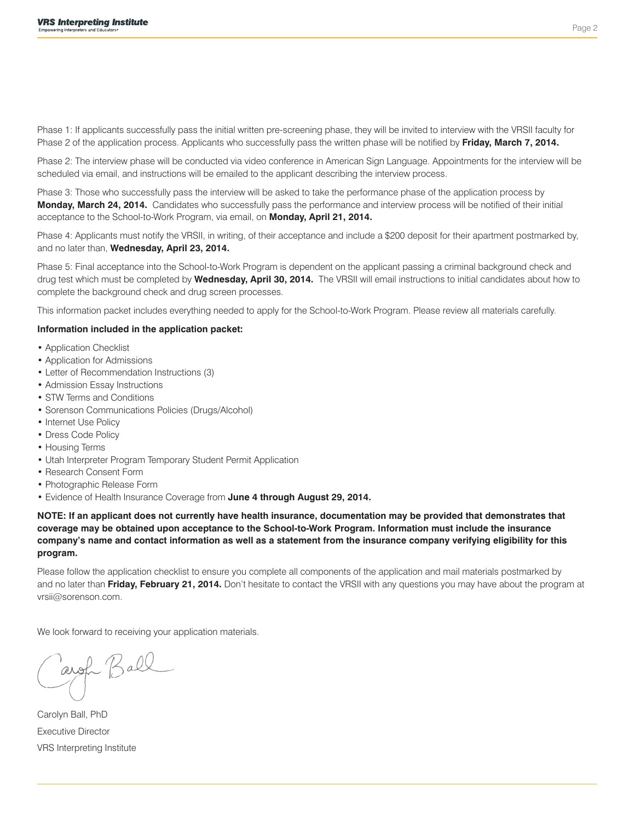Phase 1: If applicants successfully pass the initial written pre-screening phase, they will be invited to interview with the VRSII faculty for Phase 2 of the application process. Applicants who successfully pass the written phase will be notified by **Friday, March 7, 2014.**

Phase 2: The interview phase will be conducted via video conference in American Sign Language. Appointments for the interview will be scheduled via email, and instructions will be emailed to the applicant describing the interview process.

Phase 3: Those who successfully pass the interview will be asked to take the performance phase of the application process by **Monday, March 24, 2014.** Candidates who successfully pass the performance and interview process will be notified of their initial acceptance to the School-to-Work Program, via email, on **Monday, April 21, 2014.** 

Phase 4: Applicants must notify the VRSII, in writing, of their acceptance and include a \$200 deposit for their apartment postmarked by, and no later than, **Wednesday, April 23, 2014.** 

Phase 5: Final acceptance into the School-to-Work Program is dependent on the applicant passing a criminal background check and drug test which must be completed by **Wednesday, April 30, 2014.** The VRSII will email instructions to initial candidates about how to complete the background check and drug screen processes.

This information packet includes everything needed to apply for the School-to-Work Program. Please review all materials carefully.

#### **Information included in the application packet:**

- Application Checklist
- Application for Admissions
- Letter of Recommendation Instructions (3)
- Admission Essay Instructions
- STW Terms and Conditions
- Sorenson Communications Policies (Drugs/Alcohol)
- Internet Use Policy
- Dress Code Policy
- Housing Terms
- Utah Interpreter Program Temporary Student Permit Application
- Research Consent Form
- Photographic Release Form
- Evidence of Health Insurance Coverage from **June 4 through August 29, 2014.**

**NOTE: If an applicant does not currently have health insurance, documentation may be provided that demonstrates that coverage may be obtained upon acceptance to the School-to-Work Program. Information must include the insurance company's name and contact information as well as a statement from the insurance company verifying eligibility for this program.**

Please follow the application checklist to ensure you complete all components of the application and mail materials postmarked by and no later than **Friday, February 21, 2014.** Don't hesitate to contact the VRSII with any questions you may have about the program at vrsii@sorenson.com.

We look forward to receiving your application materials.

arge Ball

Carolyn Ball, PhD Executive Director VRS Interpreting Institute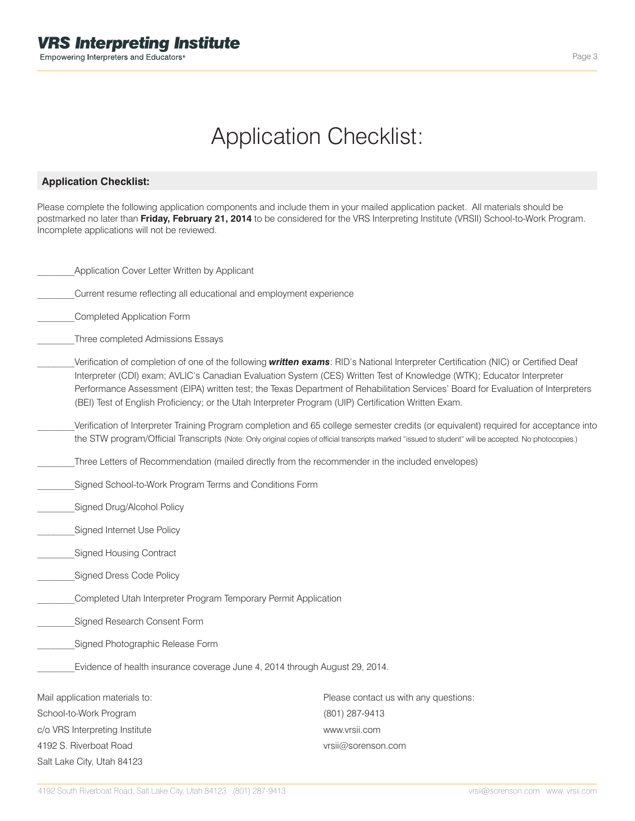# Application Checklist:

## **Application Checklist:**

Please complete the following application components and include them in your mailed application packet. All materials should be postmarked no later than **Friday, February 21, 2014** to be considered for the VRS Interpreting Institute (VRSII) School-to-Work Program. Incomplete applications will not be reviewed.

 Current resume reflecting all educational and employment experience

### Completed Application Form

 Three completed Admissions Essays

- Verification of completion of one of the following *written exams*: RID's National Interpreter Certification (NIC) or Certified Deaf Interpreter (CDI) exam; AVLIC's Canadian Evaluation System (CES) Written Test of Knowledge (WTK); Educator Interpreter Performance Assessment (EIPA) written test; the Texas Department of Rehabilitation Services' Board for Evaluation of Interpreters (BEI) Test of English Proficiency; or the Utah Interpreter Program (UIP) Certification Written Exam.
- Verification of Interpreter Training Program completion and 65 college semester credits (or equivalent) required for acceptance into the STW program/Official Transcripts (Note: Only original copies of official transcripts marked "issued to student" will be accepted. No photocopies.)
- Three Letters of Recommendation (mailed directly from the recommender in the included envelopes)
- Signed School-to-Work Program Terms and Conditions Form
- Signed Drug/Alcohol Policy
- Signed Internet Use Policy
- Signed Housing Contract
- Signed Dress Code Policy
- Completed Utah Interpreter Program Temporary Permit Application
- Signed Research Consent Form
- Signed Photographic Release Form

 Evidence of health insurance coverage June 4, 2014 through August 29, 2014.

| Mail application materials to: | Please contact us with any questions: |
|--------------------------------|---------------------------------------|
| School-to-Work Program         | (801) 287-9413                        |
| c/o VRS Interpreting Institute | www.vrsii.com                         |
| 4192 S. Riverboat Road         | vrsii@sorenson.com                    |
| Salt Lake City, Utah 84123     |                                       |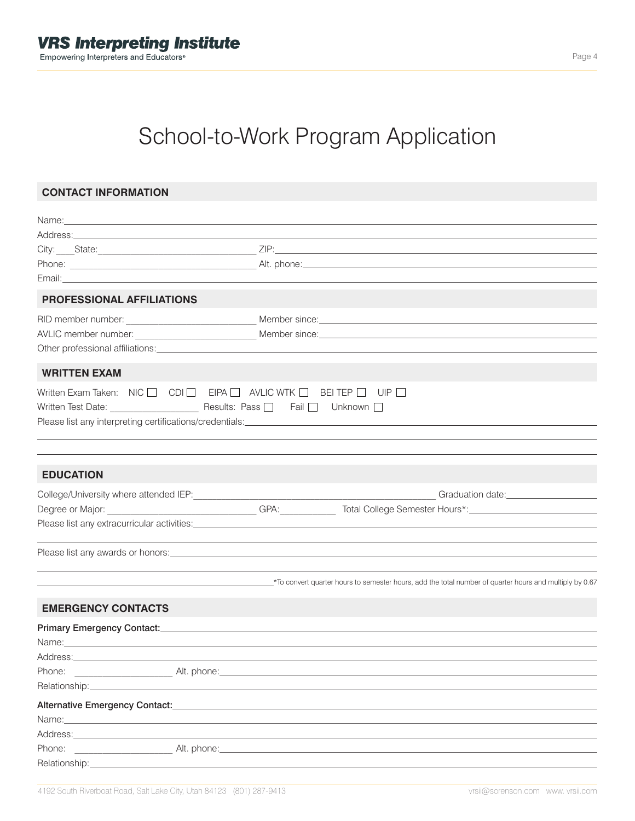# School-to-Work Program Application

# **CONTACT INFORMATION**

| Name: https://www.archive.com/watch?com/watch?com/watch?com/watch?com/watch?com/watch?com/watch?com/                                                                                                                                |                                                                                                                |                                                                                  |                                                                                                           |
|-------------------------------------------------------------------------------------------------------------------------------------------------------------------------------------------------------------------------------------|----------------------------------------------------------------------------------------------------------------|----------------------------------------------------------------------------------|-----------------------------------------------------------------------------------------------------------|
|                                                                                                                                                                                                                                     |                                                                                                                |                                                                                  |                                                                                                           |
| City: State: State: State: State: State: State: State: State: State: State: State: State: State: State: State: State: State: State: State: State: State: State: State: State: State: State: State: State: State: State: State:      |                                                                                                                |                                                                                  |                                                                                                           |
|                                                                                                                                                                                                                                     |                                                                                                                |                                                                                  |                                                                                                           |
| Email: <b>Email:</b> All and the contract of the contract of the contract of the contract of the contract of the contract of the contract of the contract of the contract of the contract of the contract of the contract of the co |                                                                                                                |                                                                                  |                                                                                                           |
| <b>PROFESSIONAL AFFILIATIONS</b>                                                                                                                                                                                                    |                                                                                                                |                                                                                  |                                                                                                           |
|                                                                                                                                                                                                                                     |                                                                                                                |                                                                                  |                                                                                                           |
|                                                                                                                                                                                                                                     |                                                                                                                |                                                                                  |                                                                                                           |
|                                                                                                                                                                                                                                     |                                                                                                                |                                                                                  |                                                                                                           |
| <b>WRITTEN EXAM</b>                                                                                                                                                                                                                 |                                                                                                                |                                                                                  |                                                                                                           |
| Written Exam Taken: $NIC \ \Box$ $CDI \ \Box$ EIPA $\Box$ AVLIC WTK $\Box$ BEI TEP $\Box$ UIP $\Box$                                                                                                                                |                                                                                                                |                                                                                  |                                                                                                           |
| <b>EDUCATION</b>                                                                                                                                                                                                                    |                                                                                                                |                                                                                  |                                                                                                           |
|                                                                                                                                                                                                                                     |                                                                                                                |                                                                                  | Graduation date:____________________                                                                      |
|                                                                                                                                                                                                                                     |                                                                                                                |                                                                                  |                                                                                                           |
|                                                                                                                                                                                                                                     |                                                                                                                |                                                                                  |                                                                                                           |
|                                                                                                                                                                                                                                     |                                                                                                                | ,我们也不会有什么。""我们的人,我们也不会有什么?""我们的人,我们也不会有什么?""我们的人,我们也不会有什么?""我们的人,我们也不会有什么?""我们的人 |                                                                                                           |
|                                                                                                                                                                                                                                     |                                                                                                                |                                                                                  | *To convert quarter hours to semester hours, add the total number of quarter hours and multiply by 0.67*> |
| <b>EMERGENCY CONTACTS</b>                                                                                                                                                                                                           |                                                                                                                |                                                                                  |                                                                                                           |
| Primary Emergency Contact: Manual Content of the Content of the Content of the Content of the Content of the Content of the Content of the Content of the Content of the Content of the Content of the Content of the Content       |                                                                                                                |                                                                                  |                                                                                                           |
|                                                                                                                                                                                                                                     |                                                                                                                |                                                                                  |                                                                                                           |
|                                                                                                                                                                                                                                     |                                                                                                                |                                                                                  |                                                                                                           |
| Phone: Alt. phone:                                                                                                                                                                                                                  |                                                                                                                |                                                                                  |                                                                                                           |
| Relationship:________________                                                                                                                                                                                                       |                                                                                                                |                                                                                  |                                                                                                           |
| Alternative Emergency Contact:__________                                                                                                                                                                                            |                                                                                                                |                                                                                  |                                                                                                           |
|                                                                                                                                                                                                                                     |                                                                                                                |                                                                                  |                                                                                                           |
| Address: <u>Communications</u>                                                                                                                                                                                                      |                                                                                                                |                                                                                  |                                                                                                           |
| Phone:                                                                                                                                                                                                                              | Alt. phone: 2008. 2014. 2015. 2016. 2017. 2018. 2019. 2017. 2018. 2019. 2017. 2018. 2019. 2017. 2017. 2017. 20 |                                                                                  |                                                                                                           |
|                                                                                                                                                                                                                                     |                                                                                                                |                                                                                  |                                                                                                           |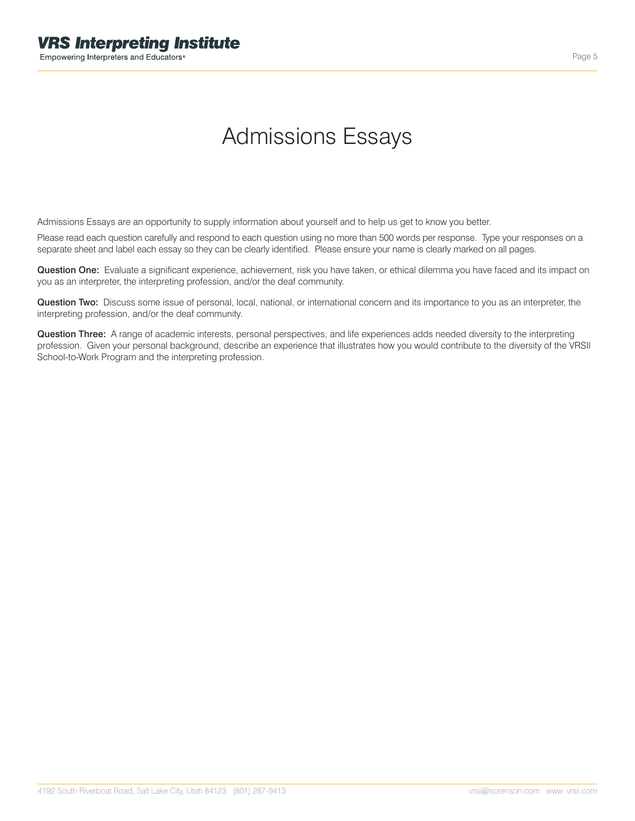# Admissions Essays

Admissions Essays are an opportunity to supply information about yourself and to help us get to know you better.

Please read each question carefully and respond to each question using no more than 500 words per response. Type your responses on a separate sheet and label each essay so they can be clearly identified. Please ensure your name is clearly marked on all pages.

Question One: Evaluate a significant experience, achievement, risk you have taken, or ethical dilemma you have faced and its impact on you as an interpreter, the interpreting profession, and/or the deaf community.

Question Two: Discuss some issue of personal, local, national, or international concern and its importance to you as an interpreter, the interpreting profession, and/or the deaf community.

Question Three: A range of academic interests, personal perspectives, and life experiences adds needed diversity to the interpreting profession. Given your personal background, describe an experience that illustrates how you would contribute to the diversity of the VRSII School-to-Work Program and the interpreting profession.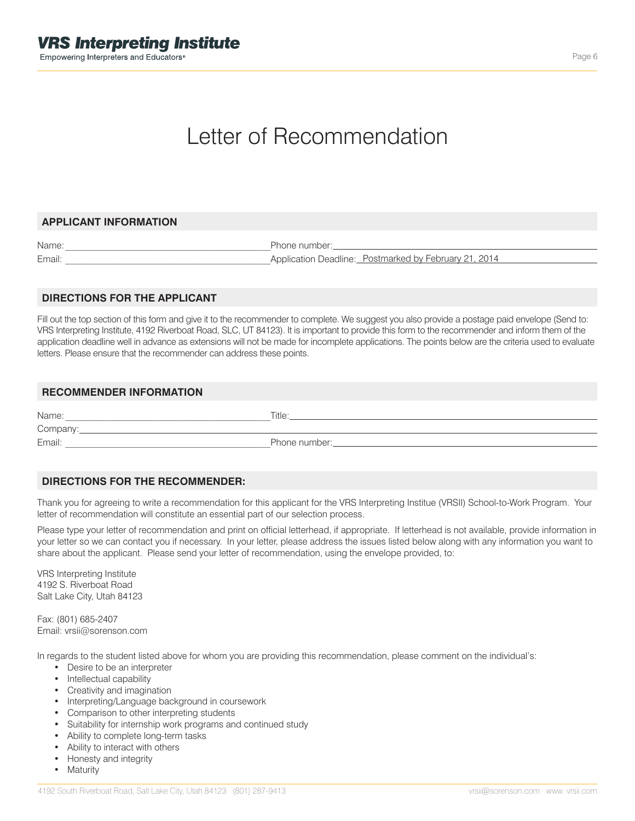# Letter of Recommendation

## **APPLICANT INFORMATION**

| Name:  | Phone number:                                         |
|--------|-------------------------------------------------------|
| Email: | Application Deadline: Postmarked by February 21, 2014 |

## **DIRECTIONS FOR THE APPLICANT**

Fill out the top section of this form and give it to the recommender to complete. We suggest you also provide a postage paid envelope (Send to: VRS Interpreting Institute, 4192 Riverboat Road, SLC, UT 84123). It is important to provide this form to the recommender and inform them of the application deadline well in advance as extensions will not be made for incomplete applications. The points below are the criteria used to evaluate letters. Please ensure that the recommender can address these points.

## **RECOMMENDER INFORMATION**

Name:\_\_\_\_\_\_\_\_\_\_\_\_\_\_\_\_\_\_\_\_\_\_\_\_\_\_\_\_\_\_\_\_\_\_\_\_\_\_\_\_\_\_\_\_\_Title: Company: Company:

Email: Email: Email: Email: Email: Email: Email: Email: Email: Email: Email: Email: Email: Email: Email: Email: Email: Email: Email: Email: Email: Email: Email: Email: Email: Email: Email: Email: Email: Email: Email: Email

## **DIRECTIONS FOR THE RECOMMENDER:**

Thank you for agreeing to write a recommendation for this applicant for the VRS Interpreting Institue (VRSII) School-to-Work Program. Your letter of recommendation will constitute an essential part of our selection process.

Please type your letter of recommendation and print on official letterhead, if appropriate. If letterhead is not available, provide information in your letter so we can contact you if necessary. In your letter, please address the issues listed below along with any information you want to share about the applicant. Please send your letter of recommendation, using the envelope provided, to:

VRS Interpreting Institute 4192 S. Riverboat Road Salt Lake City, Utah 84123

Fax: (801) 685-2407 Email: vrsii@sorenson.com

In regards to the student listed above for whom you are providing this recommendation, please comment on the individual's:

- Desire to be an interpreter
- Intellectual capability
- Creativity and imagination
- Interpreting/Language background in coursework
- Comparison to other interpreting students
- Suitability for internship work programs and continued study
- Ability to complete long-term tasks
- Ability to interact with others
- Honesty and integrity
- Maturity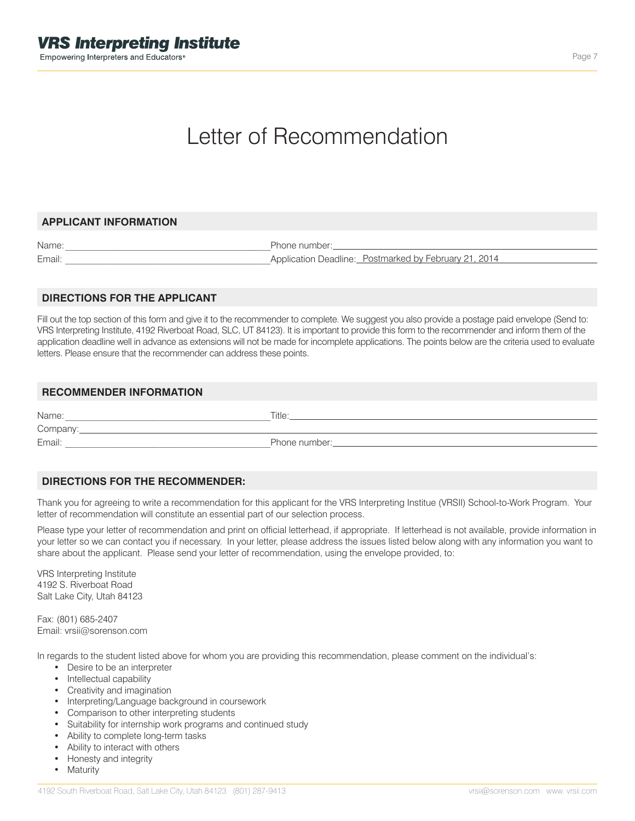# Letter of Recommendation

## **APPLICANT INFORMATION**

| Name:  | Phone number:                                         |
|--------|-------------------------------------------------------|
| Email: | Application Deadline: Postmarked by February 21, 2014 |

## **DIRECTIONS FOR THE APPLICANT**

Fill out the top section of this form and give it to the recommender to complete. We suggest you also provide a postage paid envelope (Send to: VRS Interpreting Institute, 4192 Riverboat Road, SLC, UT 84123). It is important to provide this form to the recommender and inform them of the application deadline well in advance as extensions will not be made for incomplete applications. The points below are the criteria used to evaluate letters. Please ensure that the recommender can address these points.

## **RECOMMENDER INFORMATION**

Name:\_\_\_\_\_\_\_\_\_\_\_\_\_\_\_\_\_\_\_\_\_\_\_\_\_\_\_\_\_\_\_\_\_\_\_\_\_\_\_\_\_\_\_\_\_Title: Company: Company:

Email:\_\_\_\_\_\_\_\_\_\_\_\_\_\_\_\_\_\_\_\_\_\_\_\_\_\_\_\_\_\_\_\_\_\_\_\_\_\_\_\_\_\_\_\_\_Phone number:

## **DIRECTIONS FOR THE RECOMMENDER:**

Thank you for agreeing to write a recommendation for this applicant for the VRS Interpreting Institue (VRSII) School-to-Work Program. Your letter of recommendation will constitute an essential part of our selection process.

Please type your letter of recommendation and print on official letterhead, if appropriate. If letterhead is not available, provide information in your letter so we can contact you if necessary. In your letter, please address the issues listed below along with any information you want to share about the applicant. Please send your letter of recommendation, using the envelope provided, to:

VRS Interpreting Institute 4192 S. Riverboat Road Salt Lake City, Utah 84123

Fax: (801) 685-2407 Email: vrsii@sorenson.com

In regards to the student listed above for whom you are providing this recommendation, please comment on the individual's:

- Desire to be an interpreter
- Intellectual capability
- Creativity and imagination
- Interpreting/Language background in coursework
- Comparison to other interpreting students
- Suitability for internship work programs and continued study
- Ability to complete long-term tasks
- Ability to interact with others
- Honesty and integrity
- Maturity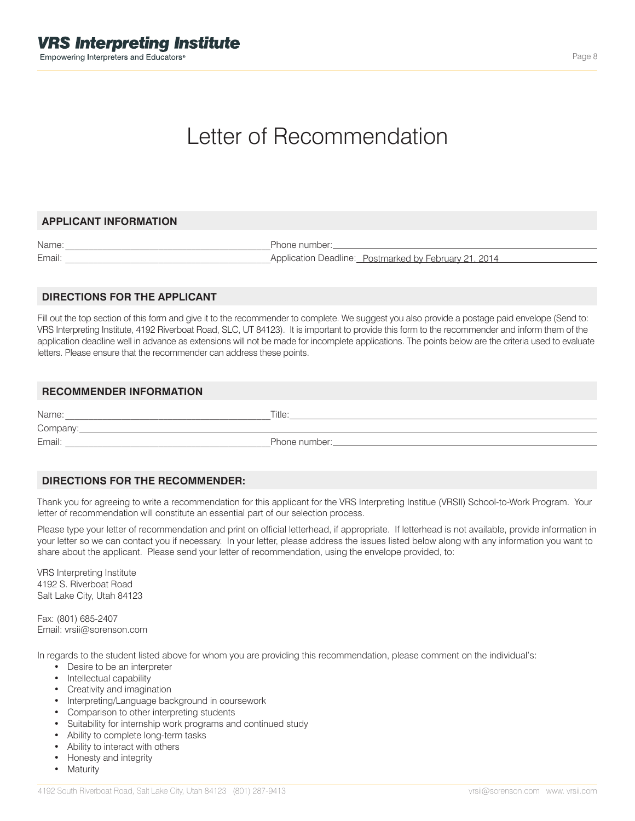# Letter of Recommendation

## **APPLICANT INFORMATION**

Name: where the contract of the contract of the Phone number: Email:  $\blacksquare$ 

Application Deadline: Postmarked by February 21, 2014

## **DIRECTIONS FOR THE APPLICANT**

Fill out the top section of this form and give it to the recommender to complete. We suggest you also provide a postage paid envelope (Send to: VRS Interpreting Institute, 4192 Riverboat Road, SLC, UT 84123). It is important to provide this form to the recommender and inform them of the application deadline well in advance as extensions will not be made for incomplete applications. The points below are the criteria used to evaluate letters. Please ensure that the recommender can address these points.

## **RECOMMENDER INFORMATION**

Name:\_\_\_\_\_\_\_\_\_\_\_\_\_\_\_\_\_\_\_\_\_\_\_\_\_\_\_\_\_\_\_\_\_\_\_\_\_\_\_\_\_\_\_\_\_Title: Company:

Email: example and the control of the Phone number: example and the control of the control of the control of the control of the control of the control of the control of the control of the control of the control of the cont

# **DIRECTIONS FOR THE RECOMMENDER:**

Thank you for agreeing to write a recommendation for this applicant for the VRS Interpreting Institue (VRSII) School-to-Work Program. Your letter of recommendation will constitute an essential part of our selection process.

Please type your letter of recommendation and print on official letterhead, if appropriate. If letterhead is not available, provide information in your letter so we can contact you if necessary. In your letter, please address the issues listed below along with any information you want to share about the applicant. Please send your letter of recommendation, using the envelope provided, to:

VRS Interpreting Institute 4192 S. Riverboat Road Salt Lake City, Utah 84123

Fax: (801) 685-2407 Email: vrsii@sorenson.com

In regards to the student listed above for whom you are providing this recommendation, please comment on the individual's:

- Desire to be an interpreter
- Intellectual capability
- Creativity and imagination
- Interpreting/Language background in coursework
- Comparison to other interpreting students
- Suitability for internship work programs and continued study
- Ability to complete long-term tasks
- Ability to interact with others
- Honesty and integrity
- Maturity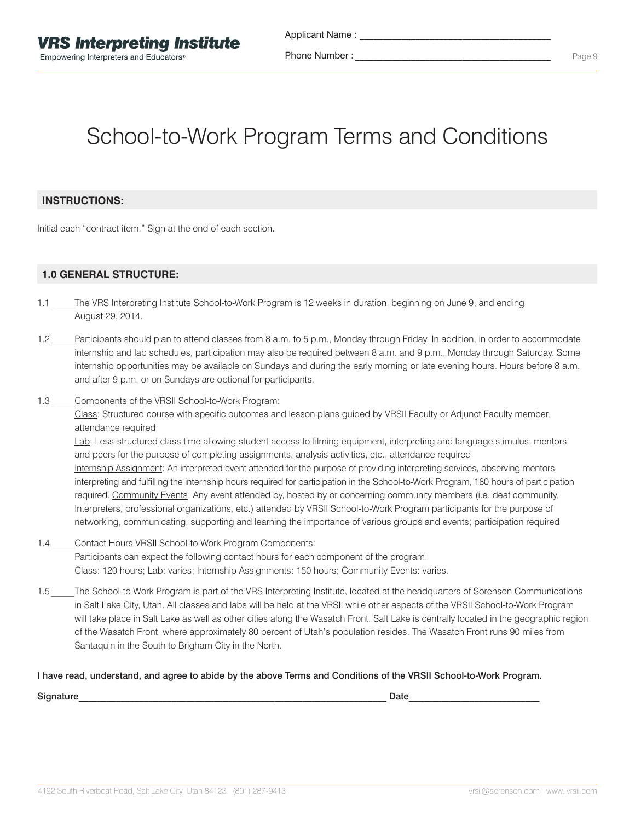Phone Number :

# School-to-Work Program Terms and Conditions

# **INSTRUCTIONS:**

Initial each "contract item." Sign at the end of each section.

# **1.0 GENERAL STRUCTURE:**

- 1.1 The VRS Interpreting Institute School-to-Work Program is 12 weeks in duration, beginning on June 9, and ending August 29, 2014.
- 1.2 Participants should plan to attend classes from 8 a.m. to 5 p.m., Monday through Friday. In addition, in order to accommodate internship and lab schedules, participation may also be required between 8 a.m. and 9 p.m., Monday through Saturday. Some internship opportunities may be available on Sundays and during the early morning or late evening hours. Hours before 8 a.m. and after 9 p.m. or on Sundays are optional for participants.
- 1.3 Components of the VRSII School-to-Work Program:

Class: Structured course with specific outcomes and lesson plans guided by VRSII Faculty or Adjunct Faculty member, attendance required

Lab: Less-structured class time allowing student access to filming equipment, interpreting and language stimulus, mentors and peers for the purpose of completing assignments, analysis activities, etc., attendance required Internship Assignment: An interpreted event attended for the purpose of providing interpreting services, observing mentors interpreting and fulfilling the internship hours required for participation in the School-to-Work Program, 180 hours of participation required. Community Events: Any event attended by, hosted by or concerning community members (i.e. deaf community, Interpreters, professional organizations, etc.) attended by VRSII School-to-Work Program participants for the purpose of networking, communicating, supporting and learning the importance of various groups and events; participation required

- 1.4 Contact Hours VRSII School-to-Work Program Components: Participants can expect the following contact hours for each component of the program: Class: 120 hours; Lab: varies; Internship Assignments: 150 hours; Community Events: varies.
- 1.5 The School-to-Work Program is part of the VRS Interpreting Institute, located at the headquarters of Sorenson Communications in Salt Lake City, Utah. All classes and labs will be held at the VRSII while other aspects of the VRSII School-to-Work Program will take place in Salt Lake as well as other cities along the Wasatch Front. Salt Lake is centrally located in the geographic region of the Wasatch Front, where approximately 80 percent of Utah's population resides. The Wasatch Front runs 90 miles from Santaquin in the South to Brigham City in the North.

## I have read, understand, and agree to abide by the above Terms and Conditions of the VRSII School-to-Work Program.

 $\blacksquare$ Signature $\blacksquare$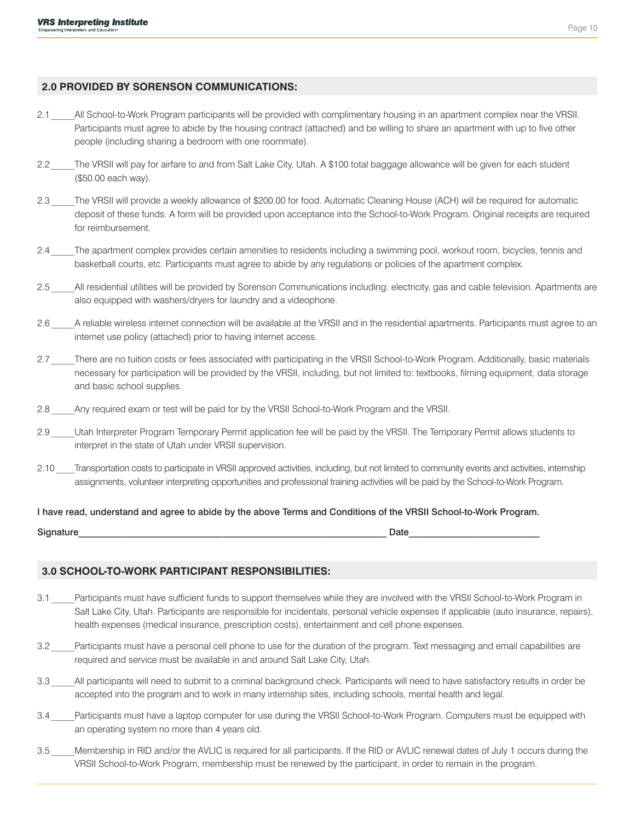# **2.0 PROVIDED BY SORENSON COMMUNICATIONS:**

- 2.1 All School-to-Work Program participants will be provided with complimentary housing in an apartment complex near the VRSII. Participants must agree to abide by the housing contract (attached) and be willing to share an apartment with up to five other people (including sharing a bedroom with one roommate).
- 2.2 The VRSII will pay for airfare to and from Salt Lake City, Utah. A \$100 total baggage allowance will be given for each student (\$50.00 each way).
- 2.3 The VRSII will provide a weekly allowance of \$200.00 for food. Automatic Cleaning House (ACH) will be required for automatic deposit of these funds. A form will be provided upon acceptance into the School-to-Work Program. Original receipts are required for reimbursement.
- 2.4 The apartment complex provides certain amenities to residents including a swimming pool, workout room, bicycles, tennis and basketball courts, etc. Participants must agree to abide by any regulations or policies of the apartment complex.
- 2.5 All residential utilities will be provided by Sorenson Communications including: electricity, gas and cable television. Apartments are also equipped with washers/dryers for laundry and a videophone.
- 2.6 A reliable wireless internet connection will be available at the VRSII and in the residential apartments. Participants must agree to an internet use policy (attached) prior to having internet access.
- 2.7 \_\_\_\_\_There are no tuition costs or fees associated with participating in the VRSII School-to-Work Program. Additionally, basic materials necessary for participation will be provided by the VRSII, including, but not limited to: textbooks, filming equipment, data storage and basic school supplies.
- 2.8 Any required exam or test will be paid for by the VRSII School-to-Work Program and the VRSII.
- 2.9 Utah Interpreter Program Temporary Permit application fee will be paid by the VRSII. The Temporary Permit allows students to interpret in the state of Utah under VRSII supervision.
- 2.10 Transportation costs to participate in VRSII approved activities, including, but not limited to community events and activities, internship assignments, volunteer interpreting opportunities and professional training activities will be paid by the School-to-Work Program.

## I have read, understand and agree to abide by the above Terms and Conditions of the VRSII School-to-Work Program.

 $\textsf{Signature} \color{black} \color{black} \color{black}$ 

## **3.0 SCHOOL-TO-WORK PARTICIPANT RESPONSIBILITIES:**

- 3.1 Participants must have sufficient funds to support themselves while they are involved with the VRSII School-to-Work Program in Salt Lake City, Utah. Participants are responsible for incidentals, personal vehicle expenses if applicable (auto insurance, repairs), health expenses (medical insurance, prescription costs), entertainment and cell phone expenses.
- 3.2 Participants must have a personal cell phone to use for the duration of the program. Text messaging and email capabilities are required and service must be available in and around Salt Lake City, Utah.
- 3.3 All participants will need to submit to a criminal background check. Participants will need to have satisfactory results in order be accepted into the program and to work in many internship sites, including schools, mental health and legal.
- 3.4 Participants must have a laptop computer for use during the VRSII School-to-Work Program. Computers must be equipped with an operating system no more than 4 years old.
- 3.5 Membership in RID and/or the AVLIC is required for all participants. If the RID or AVLIC renewal dates of July 1 occurs during the VRSII School-to-Work Program, membership must be renewed by the participant, in order to remain in the program.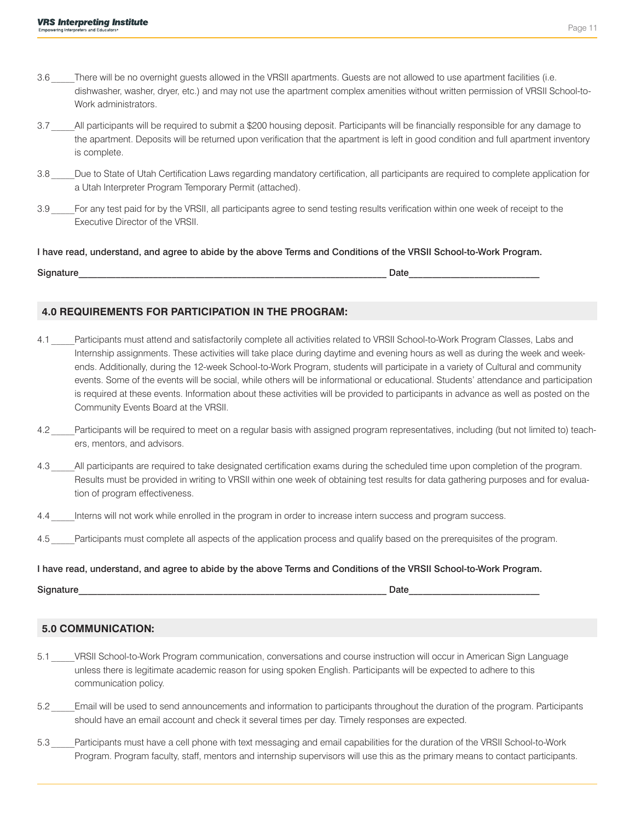- 3.6 There will be no overnight guests allowed in the VRSII apartments. Guests are not allowed to use apartment facilities (i.e. dishwasher, washer, dryer, etc.) and may not use the apartment complex amenities without written permission of VRSII School-to-Work administrators.
- 3.7 All participants will be required to submit a \$200 housing deposit. Participants will be financially responsible for any damage to the apartment. Deposits will be returned upon verification that the apartment is left in good condition and full apartment inventory is complete.
- 3.8 Due to State of Utah Certification Laws regarding mandatory certification, all participants are required to complete application for a Utah Interpreter Program Temporary Permit (attached).
- 3.9 For any test paid for by the VRSII, all participants agree to send testing results verification within one week of receipt to the Executive Director of the VRSII.

### I have read, understand, and agree to abide by the above Terms and Conditions of the VRSII School-to-Work Program.

Signature **Date** 

# **4.0 REQUIREMENTS FOR PARTICIPATION IN THE PROGRAM:**

- 4.1 Participants must attend and satisfactorily complete all activities related to VRSII School-to-Work Program Classes, Labs and Internship assignments. These activities will take place during daytime and evening hours as well as during the week and weekends. Additionally, during the 12-week School-to-Work Program, students will participate in a variety of Cultural and community events. Some of the events will be social, while others will be informational or educational. Students' attendance and participation is required at these events. Information about these activities will be provided to participants in advance as well as posted on the Community Events Board at the VRSII.
- 4.2 Participants will be required to meet on a regular basis with assigned program representatives, including (but not limited to) teachers, mentors, and advisors.
- 4.3 All participants are required to take designated certification exams during the scheduled time upon completion of the program. Results must be provided in writing to VRSII within one week of obtaining test results for data gathering purposes and for evaluation of program effectiveness.
- 4.4 Interns will not work while enrolled in the program in order to increase intern success and program success.
- 4.5 Participants must complete all aspects of the application process and qualify based on the prerequisites of the program.

# I have read, understand, and agree to abide by the above Terms and Conditions of the VRSII School-to-Work Program.

 $\textsf{Signature} \color{black} \color{black} \color{black}$ 

# **5.0 COMMUNICATION:**

- 5.1 VRSII School-to-Work Program communication, conversations and course instruction will occur in American Sign Language unless there is legitimate academic reason for using spoken English. Participants will be expected to adhere to this communication policy.
- 5.2 Email will be used to send announcements and information to participants throughout the duration of the program. Participants should have an email account and check it several times per day. Timely responses are expected.
- 5.3 Participants must have a cell phone with text messaging and email capabilities for the duration of the VRSII School-to-Work Program. Program faculty, staff, mentors and internship supervisors will use this as the primary means to contact participants.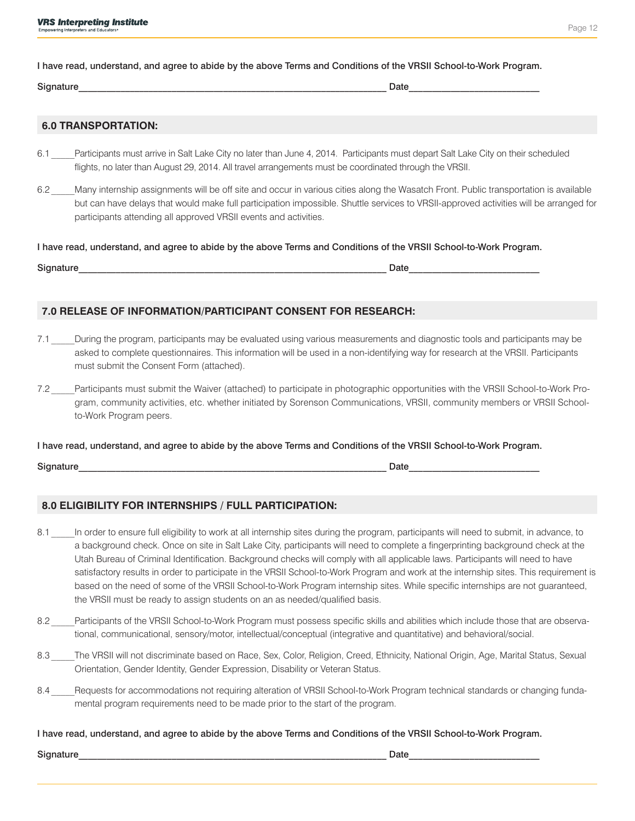I have read, understand, and agree to abide by the above Terms and Conditions of the VRSII School-to-Work Program.

#### $\blacksquare$ Signature $\blacksquare$

# **6.0 TRANSPORTATION:**

- 6.1 Participants must arrive in Salt Lake City no later than June 4, 2014. Participants must depart Salt Lake City on their scheduled flights, no later than August 29, 2014. All travel arrangements must be coordinated through the VRSII.
- 6.2 Many internship assignments will be off site and occur in various cities along the Wasatch Front. Public transportation is available but can have delays that would make full participation impossible. Shuttle services to VRSII-approved activities will be arranged for participants attending all approved VRSII events and activities.

I have read, understand, and agree to abide by the above Terms and Conditions of the VRSII School-to-Work Program.

| Signature | Jate |
|-----------|------|
|-----------|------|

# **7.0 RELEASE OF INFORMATION/PARTICIPANT CONSENT FOR RESEARCH:**

- 7.1 During the program, participants may be evaluated using various measurements and diagnostic tools and participants may be asked to complete questionnaires. This information will be used in a non-identifying way for research at the VRSII. Participants must submit the Consent Form (attached).
- 7.2 Participants must submit the Waiver (attached) to participate in photographic opportunities with the VRSII School-to-Work Program, community activities, etc. whether initiated by Sorenson Communications, VRSII, community members or VRSII Schoolto-Work Program peers.

I have read, understand, and agree to abide by the above Terms and Conditions of the VRSII School-to-Work Program.

 $\blacksquare$ Signature $\blacksquare$ 

# **8.0 ELIGIBILITY FOR INTERNSHIPS / FULL PARTICIPATION:**

- 8.1 In order to ensure full eligibility to work at all internship sites during the program, participants will need to submit, in advance, to a background check. Once on site in Salt Lake City, participants will need to complete a fingerprinting background check at the Utah Bureau of Criminal Identification. Background checks will comply with all applicable laws. Participants will need to have satisfactory results in order to participate in the VRSII School-to-Work Program and work at the internship sites. This requirement is based on the need of some of the VRSII School-to-Work Program internship sites. While specific internships are not guaranteed, the VRSII must be ready to assign students on an as needed/qualified basis.
- 8.2 Participants of the VRSII School-to-Work Program must possess specific skills and abilities which include those that are observational, communicational, sensory/motor, intellectual/conceptual (integrative and quantitative) and behavioral/social.
- 8.3 The VRSII will not discriminate based on Race, Sex, Color, Religion, Creed, Ethnicity, National Origin, Age, Marital Status, Sexual Orientation, Gender Identity, Gender Expression, Disability or Veteran Status.
- 8.4 Requests for accommodations not requiring alteration of VRSII School-to-Work Program technical standards or changing fundamental program requirements need to be made prior to the start of the program.

I have read, understand, and agree to abide by the above Terms and Conditions of the VRSII School-to-Work Program.

Signature **Date**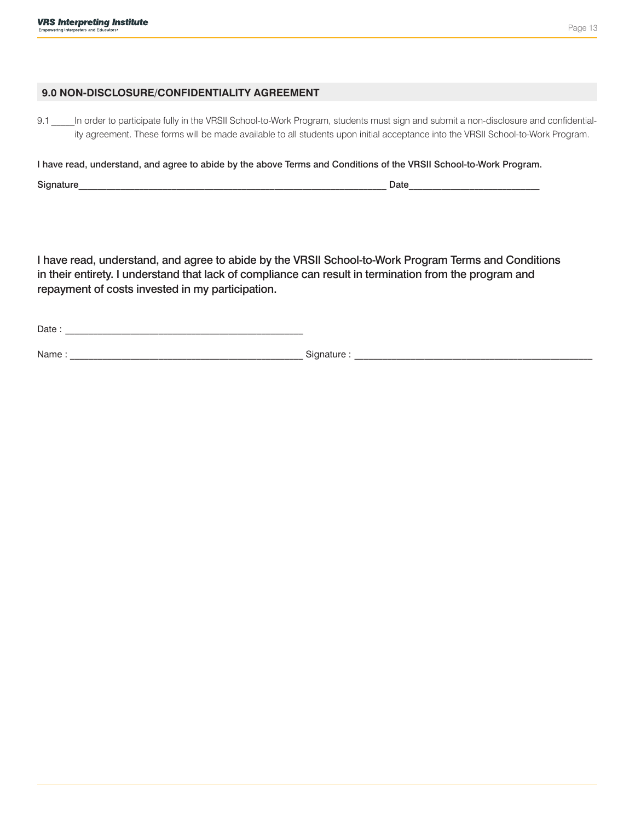## **9.0 NON-DISCLOSURE/CONFIDENTIALITY AGREEMENT**

9.1 In order to participate fully in the VRSII School-to-Work Program, students must sign and submit a non-disclosure and confidentiality agreement. These forms will be made available to all students upon initial acceptance into the VRSII School-to-Work Program.

I have read, understand, and agree to abide by the above Terms and Conditions of the VRSII School-to-Work Program.

Signature\_\_\_\_\_\_\_\_\_\_\_\_\_\_\_\_\_\_\_\_\_\_\_\_\_\_\_\_\_\_\_\_\_\_\_\_\_\_\_\_\_\_\_\_\_\_\_\_\_\_\_\_\_\_\_\_\_\_\_\_\_\_\_\_\_\_ Date\_\_\_\_\_\_\_\_\_\_\_\_\_\_\_\_\_\_\_\_\_\_\_\_\_\_\_\_

I have read, understand, and agree to abide by the VRSII School-to-Work Program Terms and Conditions in their entirety. I understand that lack of compliance can result in termination from the program and repayment of costs invested in my participation.

 $Date:$ 

Name : \_\_\_\_\_\_\_\_\_\_\_\_\_\_\_\_\_\_\_\_\_\_\_\_\_\_\_\_\_\_\_\_\_\_\_\_\_\_\_\_\_\_\_\_\_\_\_\_\_\_ Signature : \_\_\_\_\_\_\_\_\_\_\_\_\_\_\_\_\_\_\_\_\_\_\_\_\_\_\_\_\_\_\_\_\_\_\_\_\_\_\_\_\_\_\_\_\_\_\_\_\_\_\_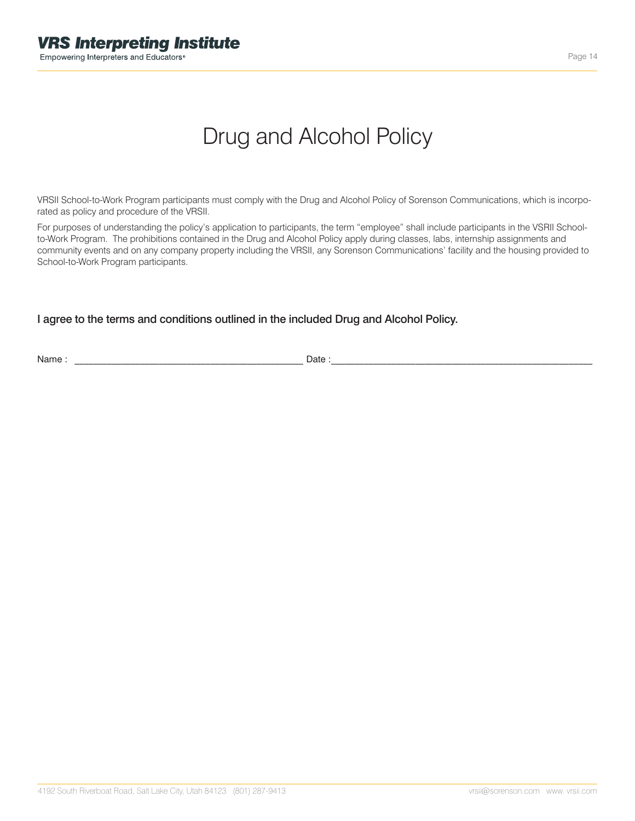# Drug and Alcohol Policy

VRSII School-to-Work Program participants must comply with the Drug and Alcohol Policy of Sorenson Communications, which is incorporated as policy and procedure of the VRSII.

For purposes of understanding the policy's application to participants, the term "employee" shall include participants in the VSRII Schoolto-Work Program. The prohibitions contained in the Drug and Alcohol Policy apply during classes, labs, internship assignments and community events and on any company property including the VRSII, any Sorenson Communications' facility and the housing provided to School-to-Work Program participants.

# I agree to the terms and conditions outlined in the included Drug and Alcohol Policy.

Name : \_\_\_\_\_\_\_\_\_\_\_\_\_\_\_\_\_\_\_\_\_\_\_\_\_\_\_\_\_\_\_\_\_\_\_\_\_\_\_\_\_\_\_\_\_\_\_\_\_ Date :\_\_\_\_\_\_\_\_\_\_\_\_\_\_\_\_\_\_\_\_\_\_\_\_\_\_\_\_\_\_\_\_\_\_\_\_\_\_\_\_\_\_\_\_\_\_\_\_\_\_\_\_\_\_\_\_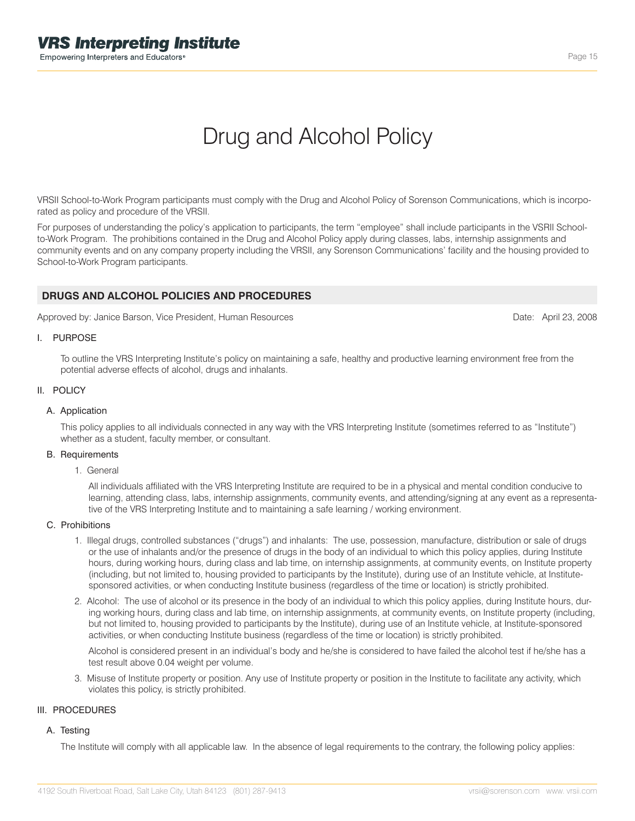# Drug and Alcohol Policy

VRSII School-to-Work Program participants must comply with the Drug and Alcohol Policy of Sorenson Communications, which is incorporated as policy and procedure of the VRSII.

For purposes of understanding the policy's application to participants, the term "employee" shall include participants in the VSRII Schoolto-Work Program. The prohibitions contained in the Drug and Alcohol Policy apply during classes, labs, internship assignments and community events and on any company property including the VRSII, any Sorenson Communications' facility and the housing provided to School-to-Work Program participants.

## **DRUGS AND ALCOHOL POLICIES AND PROCEDURES**

Approved by: Janice Barson, Vice President, Human Resources

Date: April 23, 2008

#### I. PURPOSE

To outline the VRS Interpreting Institute's policy on maintaining a safe, healthy and productive learning environment free from the potential adverse effects of alcohol, drugs and inhalants.

### II. POLICY

#### A. Application

This policy applies to all individuals connected in any way with the VRS Interpreting Institute (sometimes referred to as "Institute") whether as a student, faculty member, or consultant.

#### B. Requirements

1. General

All individuals affiliated with the VRS Interpreting Institute are required to be in a physical and mental condition conducive to learning, attending class, labs, internship assignments, community events, and attending/signing at any event as a representative of the VRS Interpreting Institute and to maintaining a safe learning / working environment.

#### C. Prohibitions

- 1. Illegal drugs, controlled substances ("drugs") and inhalants: The use, possession, manufacture, distribution or sale of drugs or the use of inhalants and/or the presence of drugs in the body of an individual to which this policy applies, during Institute hours, during working hours, during class and lab time, on internship assignments, at community events, on Institute property (including, but not limited to, housing provided to participants by the Institute), during use of an Institute vehicle, at Institutesponsored activities, or when conducting Institute business (regardless of the time or location) is strictly prohibited.
- 2. Alcohol: The use of alcohol or its presence in the body of an individual to which this policy applies, during Institute hours, during working hours, during class and lab time, on internship assignments, at community events, on Institute property (including, but not limited to, housing provided to participants by the Institute), during use of an Institute vehicle, at Institute-sponsored activities, or when conducting Institute business (regardless of the time or location) is strictly prohibited.

Alcohol is considered present in an individual's body and he/she is considered to have failed the alcohol test if he/she has a test result above 0.04 weight per volume.

3. Misuse of Institute property or position. Any use of Institute property or position in the Institute to facilitate any activity, which violates this policy, is strictly prohibited.

#### III. PROCEDURES

#### A. Testing

The Institute will comply with all applicable law. In the absence of legal requirements to the contrary, the following policy applies: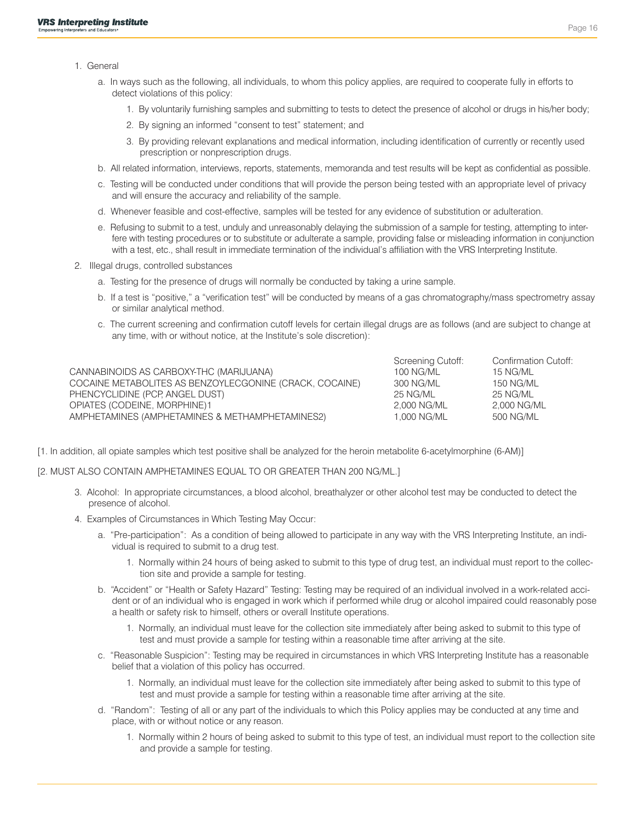- 1. General
	- a. In ways such as the following, all individuals, to whom this policy applies, are required to cooperate fully in efforts to detect violations of this policy:
		- 1. By voluntarily furnishing samples and submitting to tests to detect the presence of alcohol or drugs in his/her body;
		- 2. By signing an informed "consent to test" statement; and
		- 3. By providing relevant explanations and medical information, including identification of currently or recently used prescription or nonprescription drugs.
	- b. All related information, interviews, reports, statements, memoranda and test results will be kept as confidential as possible.
	- c. Testing will be conducted under conditions that will provide the person being tested with an appropriate level of privacy and will ensure the accuracy and reliability of the sample.
	- d. Whenever feasible and cost-effective, samples will be tested for any evidence of substitution or adulteration.
	- e. Refusing to submit to a test, unduly and unreasonably delaying the submission of a sample for testing, attempting to interfere with testing procedures or to substitute or adulterate a sample, providing false or misleading information in conjunction with a test, etc., shall result in immediate termination of the individual's affiliation with the VRS Interpreting Institute.
- 2. Illegal drugs, controlled substances
	- a. Testing for the presence of drugs will normally be conducted by taking a urine sample.
	- b. If a test is "positive," a "verification test" will be conducted by means of a gas chromatography/mass spectrometry assay or similar analytical method.
	- c. The current screening and confirmation cutoff levels for certain illegal drugs are as follows (and are subject to change at any time, with or without notice, at the Institute's sole discretion):

|                                                         | Screening Cutoff: | Confirmation Cutoff: |
|---------------------------------------------------------|-------------------|----------------------|
| CANNABINOIDS AS CARBOXY-THC (MARIJUANA)                 | 100 NG/ML         | 15 NG/ML             |
| COCAINE METABOLITES AS BENZOYLECGONINE (CRACK, COCAINE) | 300 NG/ML         | <b>150 NG/ML</b>     |
| PHENCYCLIDINE (PCP, ANGEL DUST)                         | 25 NG/ML          | 25 NG/ML             |
| OPIATES (CODEINE, MORPHINE)1                            | 2.000 NG/ML       | 2.000 NG/ML          |
| AMPHETAMINES (AMPHETAMINES & METHAMPHETAMINES2)         | 1.000 NG/ML       | 500 NG/ML            |

- [1. In addition, all opiate samples which test positive shall be analyzed for the heroin metabolite 6-acetylmorphine (6-AM)]
- [2. MUST ALSO CONTAIN AMPHETAMINES EQUAL TO OR GREATER THAN 200 NG/ML.]
	- 3. Alcohol: In appropriate circumstances, a blood alcohol, breathalyzer or other alcohol test may be conducted to detect the presence of alcohol.
	- 4. Examples of Circumstances in Which Testing May Occur:
		- a. "Pre-participation": As a condition of being allowed to participate in any way with the VRS Interpreting Institute, an individual is required to submit to a drug test.
			- 1. Normally within 24 hours of being asked to submit to this type of drug test, an individual must report to the collection site and provide a sample for testing.
		- b. "Accident" or "Health or Safety Hazard" Testing: Testing may be required of an individual involved in a work-related accident or of an individual who is engaged in work which if performed while drug or alcohol impaired could reasonably pose a health or safety risk to himself, others or overall Institute operations.
			- 1. Normally, an individual must leave for the collection site immediately after being asked to submit to this type of test and must provide a sample for testing within a reasonable time after arriving at the site.
		- c. "Reasonable Suspicion": Testing may be required in circumstances in which VRS Interpreting Institute has a reasonable belief that a violation of this policy has occurred.
			- 1. Normally, an individual must leave for the collection site immediately after being asked to submit to this type of test and must provide a sample for testing within a reasonable time after arriving at the site.
		- d. "Random": Testing of all or any part of the individuals to which this Policy applies may be conducted at any time and place, with or without notice or any reason.
			- 1. Normally within 2 hours of being asked to submit to this type of test, an individual must report to the collection site and provide a sample for testing.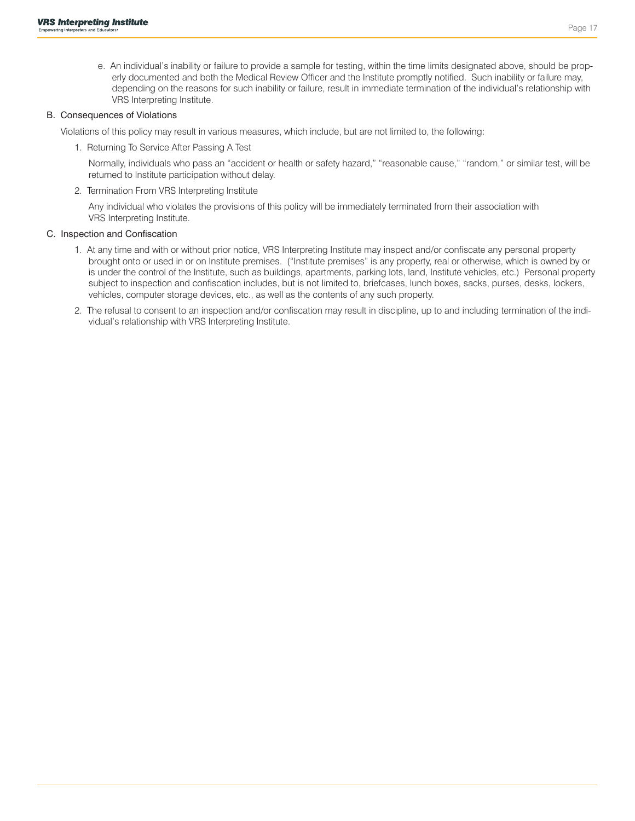e. An individual's inability or failure to provide a sample for testing, within the time limits designated above, should be properly documented and both the Medical Review Officer and the Institute promptly notified. Such inability or failure may, depending on the reasons for such inability or failure, result in immediate termination of the individual's relationship with VRS Interpreting Institute.

#### B. Consequences of Violations

Violations of this policy may result in various measures, which include, but are not limited to, the following:

1. Returning To Service After Passing A Test

Normally, individuals who pass an "accident or health or safety hazard," "reasonable cause," "random," or similar test, will be returned to Institute participation without delay.

2. Termination From VRS Interpreting Institute

Any individual who violates the provisions of this policy will be immediately terminated from their association with VRS Interpreting Institute.

### C. Inspection and Confiscation

- 1. At any time and with or without prior notice, VRS Interpreting Institute may inspect and/or confiscate any personal property brought onto or used in or on Institute premises. ("Institute premises" is any property, real or otherwise, which is owned by or is under the control of the Institute, such as buildings, apartments, parking lots, land, Institute vehicles, etc.) Personal property subject to inspection and confiscation includes, but is not limited to, briefcases, lunch boxes, sacks, purses, desks, lockers, vehicles, computer storage devices, etc., as well as the contents of any such property.
- 2. The refusal to consent to an inspection and/or confiscation may result in discipline, up to and including termination of the individual's relationship with VRS Interpreting Institute.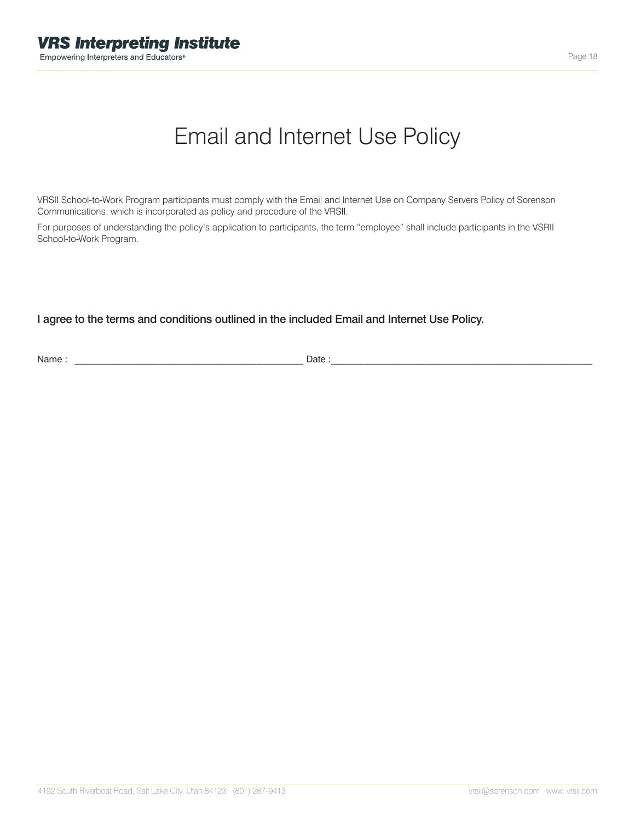# Email and Internet Use Policy

VRSII School-to-Work Program participants must comply with the Email and Internet Use on Company Servers Policy of Sorenson Communications, which is incorporated as policy and procedure of the VRSII.

For purposes of understanding the policy's application to participants, the term "employee" shall include participants in the VSRII School-to-Work Program.

I agree to the terms and conditions outlined in the included Email and Internet Use Policy.

Name : \_\_\_\_\_\_\_\_\_\_\_\_\_\_\_\_\_\_\_\_\_\_\_\_\_\_\_\_\_\_\_\_\_\_\_\_\_\_\_\_\_\_\_\_\_\_\_\_\_ Date :\_\_\_\_\_\_\_\_\_\_\_\_\_\_\_\_\_\_\_\_\_\_\_\_\_\_\_\_\_\_\_\_\_\_\_\_\_\_\_\_\_\_\_\_\_\_\_\_\_\_\_\_\_\_\_\_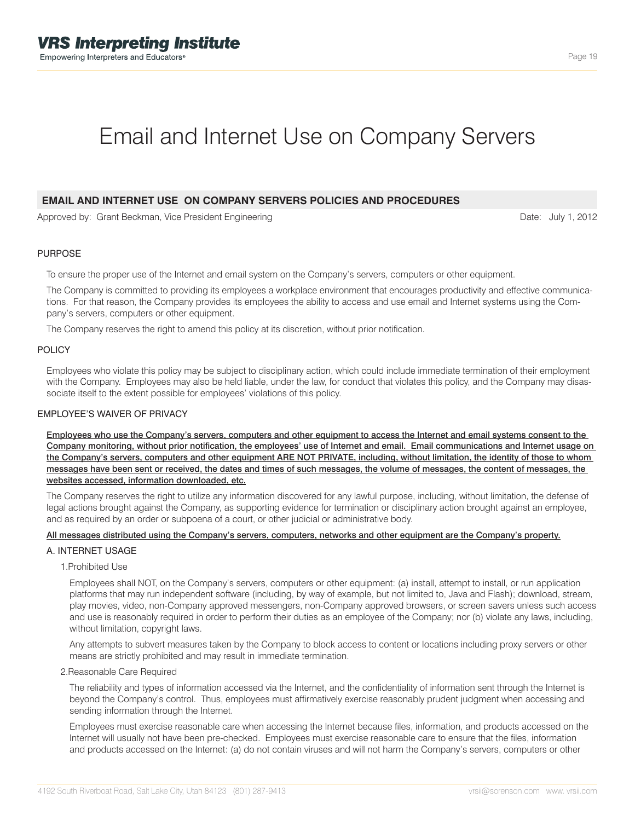# Email and Internet Use on Company Servers

## **EMAIL AND INTERNET USE ON COMPANY SERVERS POLICIES AND PROCEDURES**

Approved by: Grant Beckman, Vice President Engineering

#### PURPOSE

To ensure the proper use of the Internet and email system on the Company's servers, computers or other equipment.

The Company is committed to providing its employees a workplace environment that encourages productivity and effective communications. For that reason, the Company provides its employees the ability to access and use email and Internet systems using the Company's servers, computers or other equipment.

The Company reserves the right to amend this policy at its discretion, without prior notification.

#### POLICY

Employees who violate this policy may be subject to disciplinary action, which could include immediate termination of their employment with the Company. Employees may also be held liable, under the law, for conduct that violates this policy, and the Company may disassociate itself to the extent possible for employees' violations of this policy.

#### EMPLOYEE'S WAIVER OF PRIVACY

Employees who use the Company's servers, computers and other equipment to access the Internet and email systems consent to the Company monitoring, without prior notification, the employees' use of Internet and email. Email communications and Internet usage on the Company's servers, computers and other equipment ARE NOT PRIVATE, including, without limitation, the identity of those to whom messages have been sent or received, the dates and times of such messages, the volume of messages, the content of messages, the websites accessed, information downloaded, etc.

The Company reserves the right to utilize any information discovered for any lawful purpose, including, without limitation, the defense of legal actions brought against the Company, as supporting evidence for termination or disciplinary action brought against an employee, and as required by an order or subpoena of a court, or other judicial or administrative body.

#### All messages distributed using the Company's servers, computers, networks and other equipment are the Company's property.

### A. INTERNET USAGE

1.Prohibited Use

Employees shall NOT, on the Company's servers, computers or other equipment: (a) install, attempt to install, or run application platforms that may run independent software (including, by way of example, but not limited to, Java and Flash); download, stream, play movies, video, non-Company approved messengers, non-Company approved browsers, or screen savers unless such access and use is reasonably required in order to perform their duties as an employee of the Company; nor (b) violate any laws, including, without limitation, copyright laws.

Any attempts to subvert measures taken by the Company to block access to content or locations including proxy servers or other means are strictly prohibited and may result in immediate termination.

2.Reasonable Care Required

The reliability and types of information accessed via the Internet, and the confidentiality of information sent through the Internet is beyond the Company's control. Thus, employees must affirmatively exercise reasonably prudent judgment when accessing and sending information through the Internet.

Employees must exercise reasonable care when accessing the Internet because files, information, and products accessed on the Internet will usually not have been pre-checked. Employees must exercise reasonable care to ensure that the files, information and products accessed on the Internet: (a) do not contain viruses and will not harm the Company's servers, computers or other

Date: July 1, 2012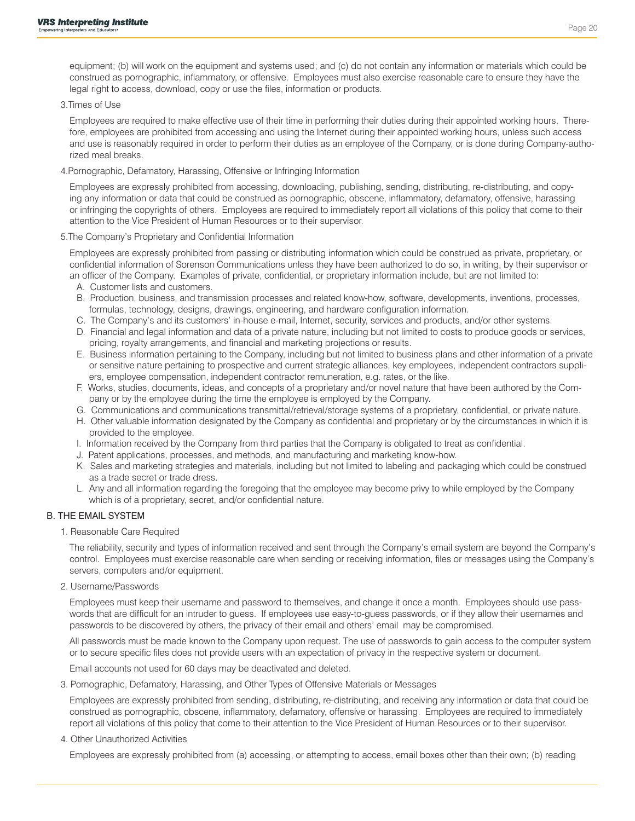equipment; (b) will work on the equipment and systems used; and (c) do not contain any information or materials which could be construed as pornographic, inflammatory, or offensive. Employees must also exercise reasonable care to ensure they have the legal right to access, download, copy or use the files, information or products.

#### 3.Times of Use

Employees are required to make effective use of their time in performing their duties during their appointed working hours. Therefore, employees are prohibited from accessing and using the Internet during their appointed working hours, unless such access and use is reasonably required in order to perform their duties as an employee of the Company, or is done during Company-authorized meal breaks.

4.Pornographic, Defamatory, Harassing, Offensive or Infringing Information

Employees are expressly prohibited from accessing, downloading, publishing, sending, distributing, re-distributing, and copying any information or data that could be construed as pornographic, obscene, inflammatory, defamatory, offensive, harassing or infringing the copyrights of others. Employees are required to immediately report all violations of this policy that come to their attention to the Vice President of Human Resources or to their supervisor.

5.The Company's Proprietary and Confidential Information

Employees are expressly prohibited from passing or distributing information which could be construed as private, proprietary, or confidential information of Sorenson Communications unless they have been authorized to do so, in writing, by their supervisor or an officer of the Company. Examples of private, confidential, or proprietary information include, but are not limited to:

- A. Customer lists and customers.
- B. Production, business, and transmission processes and related know-how, software, developments, inventions, processes, formulas, technology, designs, drawings, engineering, and hardware configuration information.
- C. The Company's and its customers' in-house e-mail, Internet, security, services and products, and/or other systems.
- D. Financial and legal information and data of a private nature, including but not limited to costs to produce goods or services, pricing, royalty arrangements, and financial and marketing projections or results.
- E. Business information pertaining to the Company, including but not limited to business plans and other information of a private or sensitive nature pertaining to prospective and current strategic alliances, key employees, independent contractors suppliers, employee compensation, independent contractor remuneration, e.g. rates, or the like.
- F. Works, studies, documents, ideas, and concepts of a proprietary and/or novel nature that have been authored by the Company or by the employee during the time the employee is employed by the Company.
- G. Communications and communications transmittal/retrieval/storage systems of a proprietary, confidential, or private nature.
- H. Other valuable information designated by the Company as confidential and proprietary or by the circumstances in which it is provided to the employee.
- I. Information received by the Company from third parties that the Company is obligated to treat as confidential.
- J. Patent applications, processes, and methods, and manufacturing and marketing know-how.
- K. Sales and marketing strategies and materials, including but not limited to labeling and packaging which could be construed as a trade secret or trade dress.
- L. Any and all information regarding the foregoing that the employee may become privy to while employed by the Company which is of a proprietary, secret, and/or confidential nature.

## B. THE EMAIL SYSTEM

1. Reasonable Care Required

The reliability, security and types of information received and sent through the Company's email system are beyond the Company's control. Employees must exercise reasonable care when sending or receiving information, files or messages using the Company's servers, computers and/or equipment.

2. Username/Passwords

Employees must keep their username and password to themselves, and change it once a month. Employees should use passwords that are difficult for an intruder to guess. If employees use easy-to-guess passwords, or if they allow their usernames and passwords to be discovered by others, the privacy of their email and others' email may be compromised.

All passwords must be made known to the Company upon request. The use of passwords to gain access to the computer system or to secure specific files does not provide users with an expectation of privacy in the respective system or document.

Email accounts not used for 60 days may be deactivated and deleted.

3. Pornographic, Defamatory, Harassing, and Other Types of Offensive Materials or Messages

Employees are expressly prohibited from sending, distributing, re-distributing, and receiving any information or data that could be construed as pornographic, obscene, inflammatory, defamatory, offensive or harassing. Employees are required to immediately report all violations of this policy that come to their attention to the Vice President of Human Resources or to their supervisor.

4. Other Unauthorized Activities

Employees are expressly prohibited from (a) accessing, or attempting to access, email boxes other than their own; (b) reading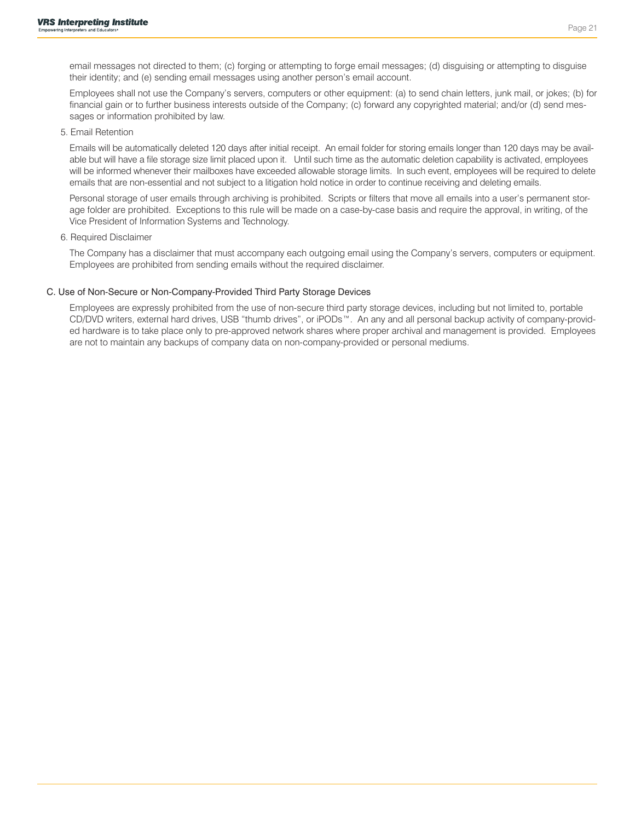email messages not directed to them; (c) forging or attempting to forge email messages; (d) disguising or attempting to disguise their identity; and (e) sending email messages using another person's email account.

Employees shall not use the Company's servers, computers or other equipment: (a) to send chain letters, junk mail, or jokes; (b) for financial gain or to further business interests outside of the Company; (c) forward any copyrighted material; and/or (d) send messages or information prohibited by law.

#### 5. Email Retention

Emails will be automatically deleted 120 days after initial receipt. An email folder for storing emails longer than 120 days may be available but will have a file storage size limit placed upon it. Until such time as the automatic deletion capability is activated, employees will be informed whenever their mailboxes have exceeded allowable storage limits. In such event, employees will be required to delete emails that are non-essential and not subject to a litigation hold notice in order to continue receiving and deleting emails.

Personal storage of user emails through archiving is prohibited. Scripts or filters that move all emails into a user's permanent storage folder are prohibited. Exceptions to this rule will be made on a case-by-case basis and require the approval, in writing, of the Vice President of Information Systems and Technology.

#### 6. Required Disclaimer

The Company has a disclaimer that must accompany each outgoing email using the Company's servers, computers or equipment. Employees are prohibited from sending emails without the required disclaimer.

### C. Use of Non-Secure or Non-Company-Provided Third Party Storage Devices

Employees are expressly prohibited from the use of non-secure third party storage devices, including but not limited to, portable CD/DVD writers, external hard drives, USB "thumb drives", or iPODs™. An any and all personal backup activity of company-provided hardware is to take place only to pre-approved network shares where proper archival and management is provided. Employees are not to maintain any backups of company data on non-company-provided or personal mediums.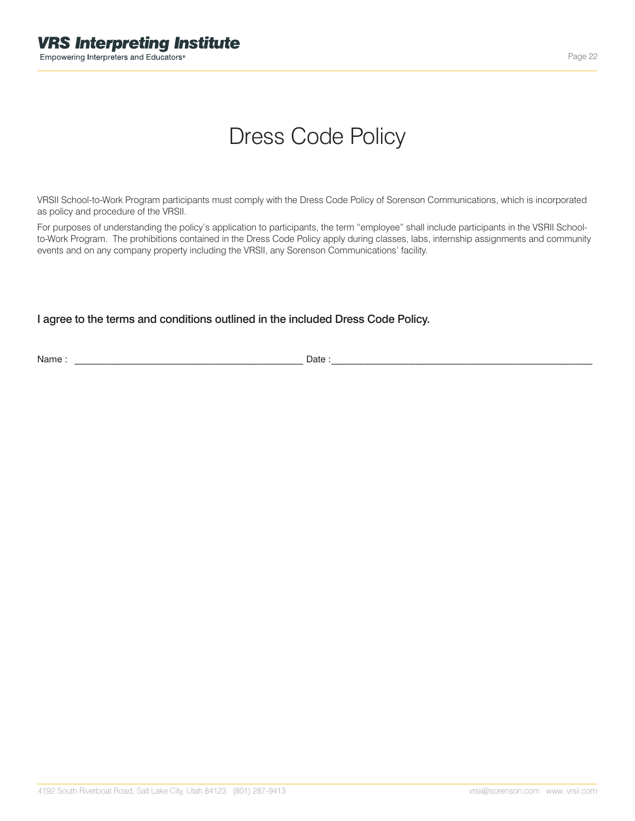# Dress Code Policy

VRSII School-to-Work Program participants must comply with the Dress Code Policy of Sorenson Communications, which is incorporated as policy and procedure of the VRSII.

For purposes of understanding the policy's application to participants, the term "employee" shall include participants in the VSRII Schoolto-Work Program. The prohibitions contained in the Dress Code Policy apply during classes, labs, internship assignments and community events and on any company property including the VRSII, any Sorenson Communications' facility.

# I agree to the terms and conditions outlined in the included Dress Code Policy.

Name : \_\_\_\_\_\_\_\_\_\_\_\_\_\_\_\_\_\_\_\_\_\_\_\_\_\_\_\_\_\_\_\_\_\_\_\_\_\_\_\_\_\_\_\_\_\_\_\_\_ Date :\_\_\_\_\_\_\_\_\_\_\_\_\_\_\_\_\_\_\_\_\_\_\_\_\_\_\_\_\_\_\_\_\_\_\_\_\_\_\_\_\_\_\_\_\_\_\_\_\_\_\_\_\_\_\_\_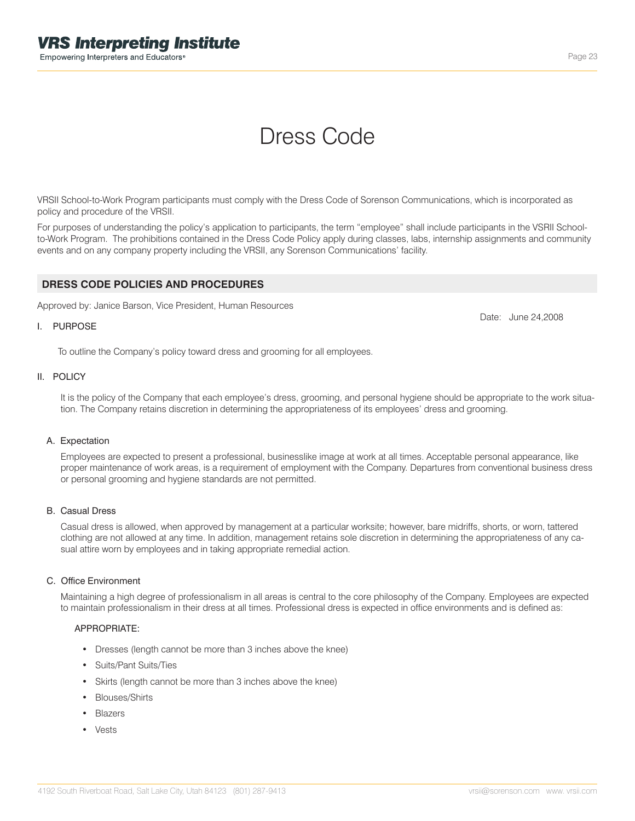# Dress Code

VRSII School-to-Work Program participants must comply with the Dress Code of Sorenson Communications, which is incorporated as policy and procedure of the VRSII.

For purposes of understanding the policy's application to participants, the term "employee" shall include participants in the VSRII Schoolto-Work Program. The prohibitions contained in the Dress Code Policy apply during classes, labs, internship assignments and community events and on any company property including the VRSII, any Sorenson Communications' facility.

## **DRESS CODE POLICIES AND PROCEDURES**

Approved by: Janice Barson, Vice President, Human Resources

#### I. PURPOSE

To outline the Company's policy toward dress and grooming for all employees.

#### II. POLICY

It is the policy of the Company that each employee's dress, grooming, and personal hygiene should be appropriate to the work situation. The Company retains discretion in determining the appropriateness of its employees' dress and grooming.

#### A. Expectation

Employees are expected to present a professional, businesslike image at work at all times. Acceptable personal appearance, like proper maintenance of work areas, is a requirement of employment with the Company. Departures from conventional business dress or personal grooming and hygiene standards are not permitted.

### B. Casual Dress

Casual dress is allowed, when approved by management at a particular worksite; however, bare midriffs, shorts, or worn, tattered clothing are not allowed at any time. In addition, management retains sole discretion in determining the appropriateness of any casual attire worn by employees and in taking appropriate remedial action.

### C. Office Environment

Maintaining a high degree of professionalism in all areas is central to the core philosophy of the Company. Employees are expected to maintain professionalism in their dress at all times. Professional dress is expected in office environments and is defined as:

#### APPROPRIATE:

- Dresses (length cannot be more than 3 inches above the knee)
- Suits/Pant Suits/Ties
- Skirts (length cannot be more than 3 inches above the knee)
- Blouses/Shirts
- Blazers
- Vests

Date: June 24,2008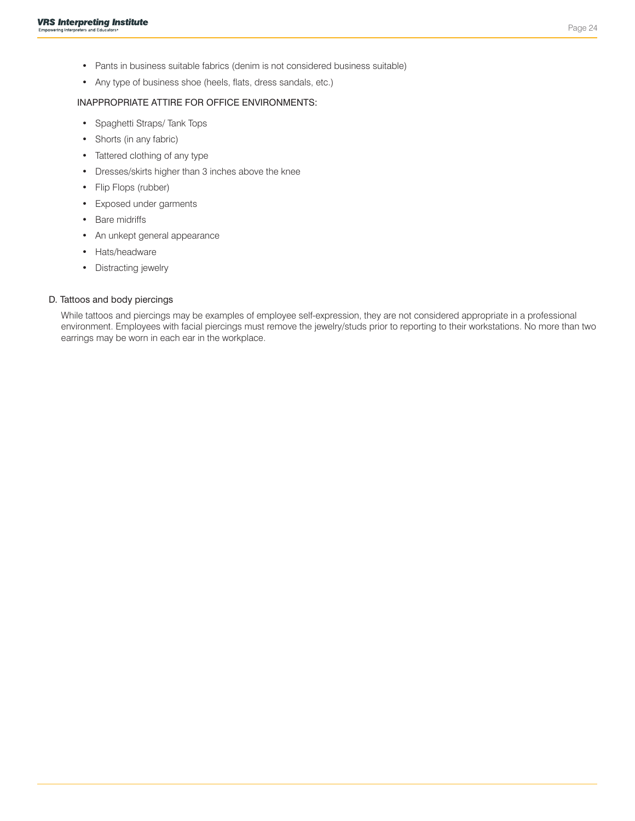- Pants in business suitable fabrics (denim is not considered business suitable)
- Any type of business shoe (heels, flats, dress sandals, etc.)

## INAPPROPRIATE ATTIRE FOR OFFICE ENVIRONMENTS:

- Spaghetti Straps/ Tank Tops
- Shorts (in any fabric)
- Tattered clothing of any type
- Dresses/skirts higher than 3 inches above the knee
- Flip Flops (rubber)
- Exposed under garments
- Bare midriffs
- An unkept general appearance
- Hats/headware
- Distracting jewelry

### D. Tattoos and body piercings

While tattoos and piercings may be examples of employee self-expression, they are not considered appropriate in a professional environment. Employees with facial piercings must remove the jewelry/studs prior to reporting to their workstations. No more than two earrings may be worn in each ear in the workplace.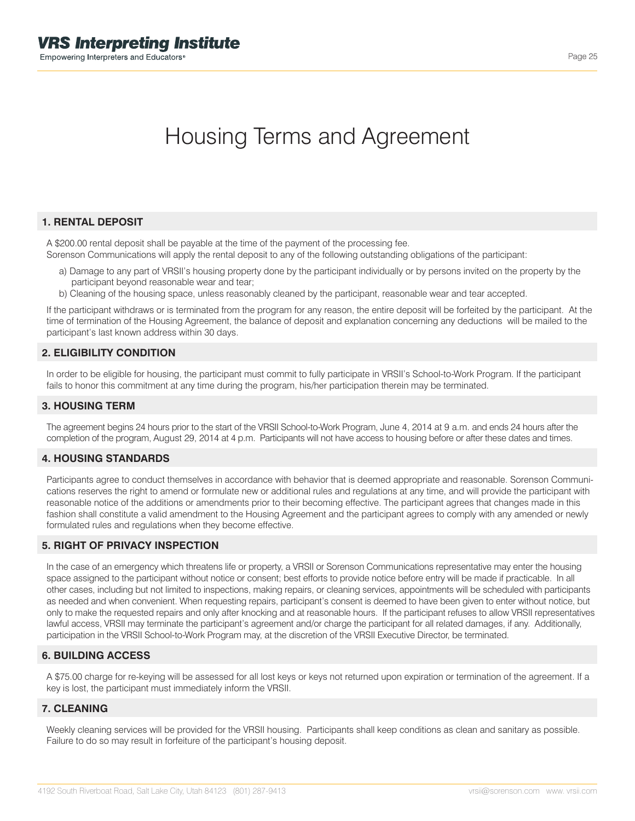# Housing Terms and Agreement

# **1. RENTAL DEPOSIT**

A \$200.00 rental deposit shall be payable at the time of the payment of the processing fee. Sorenson Communications will apply the rental deposit to any of the following outstanding obligations of the participant:

- a) Damage to any part of VRSII's housing property done by the participant individually or by persons invited on the property by the participant beyond reasonable wear and tear;
- b) Cleaning of the housing space, unless reasonably cleaned by the participant, reasonable wear and tear accepted.

If the participant withdraws or is terminated from the program for any reason, the entire deposit will be forfeited by the participant. At the time of termination of the Housing Agreement, the balance of deposit and explanation concerning any deductions will be mailed to the participant's last known address within 30 days.

## **2. ELIGIBILITY CONDITION**

In order to be eligible for housing, the participant must commit to fully participate in VRSII's School-to-Work Program. If the participant fails to honor this commitment at any time during the program, his/her participation therein may be terminated.

### **3. HOUSING TERM**

The agreement begins 24 hours prior to the start of the VRSII School-to-Work Program, June 4, 2014 at 9 a.m. and ends 24 hours after the completion of the program, August 29, 2014 at 4 p.m. Participants will not have access to housing before or after these dates and times.

## **4. HOUSING STANDARDS**

Participants agree to conduct themselves in accordance with behavior that is deemed appropriate and reasonable. Sorenson Communications reserves the right to amend or formulate new or additional rules and regulations at any time, and will provide the participant with reasonable notice of the additions or amendments prior to their becoming effective. The participant agrees that changes made in this fashion shall constitute a valid amendment to the Housing Agreement and the participant agrees to comply with any amended or newly formulated rules and regulations when they become effective.

## **5. RIGHT OF PRIVACY INSPECTION**

In the case of an emergency which threatens life or property, a VRSII or Sorenson Communications representative may enter the housing space assigned to the participant without notice or consent; best efforts to provide notice before entry will be made if practicable. In all other cases, including but not limited to inspections, making repairs, or cleaning services, appointments will be scheduled with participants as needed and when convenient. When requesting repairs, participant's consent is deemed to have been given to enter without notice, but only to make the requested repairs and only after knocking and at reasonable hours. If the participant refuses to allow VRSII representatives lawful access, VRSII may terminate the participant's agreement and/or charge the participant for all related damages, if any. Additionally, participation in the VRSII School-to-Work Program may, at the discretion of the VRSII Executive Director, be terminated.

## **6. BUILDING ACCESS**

A \$75.00 charge for re-keying will be assessed for all lost keys or keys not returned upon expiration or termination of the agreement. If a key is lost, the participant must immediately inform the VRSII.

## **7. CLEANING**

Weekly cleaning services will be provided for the VRSII housing. Participants shall keep conditions as clean and sanitary as possible. Failure to do so may result in forfeiture of the participant's housing deposit.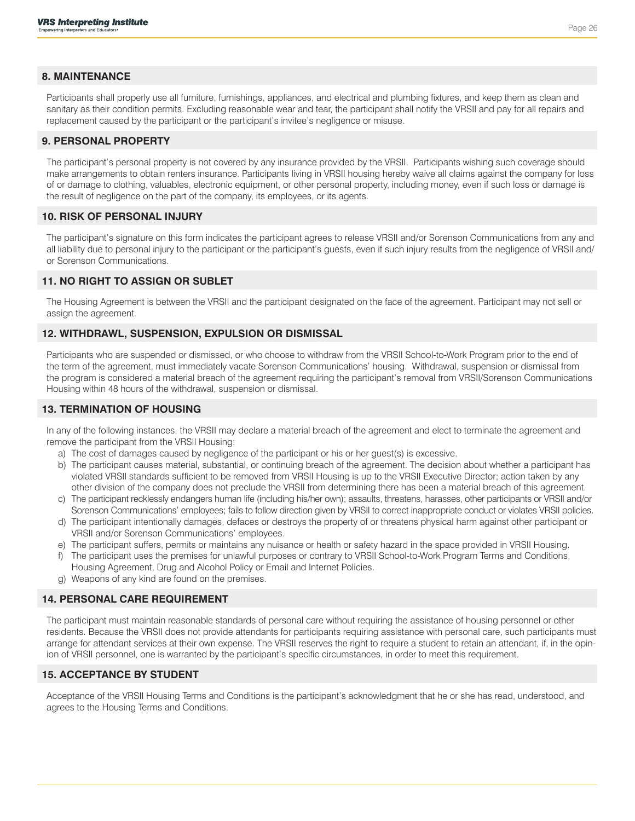# **8. MAINTENANCE**

Participants shall properly use all furniture, furnishings, appliances, and electrical and plumbing fixtures, and keep them as clean and sanitary as their condition permits. Excluding reasonable wear and tear, the participant shall notify the VRSII and pay for all repairs and replacement caused by the participant or the participant's invitee's negligence or misuse.

### **9. PERSONAL PROPERTY**

The participant's personal property is not covered by any insurance provided by the VRSII. Participants wishing such coverage should make arrangements to obtain renters insurance. Participants living in VRSII housing hereby waive all claims against the company for loss of or damage to clothing, valuables, electronic equipment, or other personal property, including money, even if such loss or damage is the result of negligence on the part of the company, its employees, or its agents.

### **10. RISK OF PERSONAL INJURY**

The participant's signature on this form indicates the participant agrees to release VRSII and/or Sorenson Communications from any and all liability due to personal injury to the participant or the participant's guests, even if such injury results from the negligence of VRSII and/ or Sorenson Communications.

### **11. NO RIGHT TO ASSIGN OR SUBLET**

The Housing Agreement is between the VRSII and the participant designated on the face of the agreement. Participant may not sell or assign the agreement.

### **12. WITHDRAWL, SUSPENSION, EXPULSION OR DISMISSAL**

Participants who are suspended or dismissed, or who choose to withdraw from the VRSII School-to-Work Program prior to the end of the term of the agreement, must immediately vacate Sorenson Communications' housing. Withdrawal, suspension or dismissal from the program is considered a material breach of the agreement requiring the participant's removal from VRSII/Sorenson Communications Housing within 48 hours of the withdrawal, suspension or dismissal.

### **13. TERMINATION OF HOUSING**

In any of the following instances, the VRSII may declare a material breach of the agreement and elect to terminate the agreement and remove the participant from the VRSII Housing:

- a) The cost of damages caused by negligence of the participant or his or her guest(s) is excessive.
- b) The participant causes material, substantial, or continuing breach of the agreement. The decision about whether a participant has violated VRSII standards sufficient to be removed from VRSII Housing is up to the VRSII Executive Director; action taken by any other division of the company does not preclude the VRSII from determining there has been a material breach of this agreement.
- c) The participant recklessly endangers human life (including his/her own); assaults, threatens, harasses, other participants or VRSII and/or Sorenson Communications' employees; fails to follow direction given by VRSII to correct inappropriate conduct or violates VRSII policies.
- d) The participant intentionally damages, defaces or destroys the property of or threatens physical harm against other participant or VRSII and/or Sorenson Communications' employees.
- e) The participant suffers, permits or maintains any nuisance or health or safety hazard in the space provided in VRSII Housing.
- f) The participant uses the premises for unlawful purposes or contrary to VRSII School-to-Work Program Terms and Conditions, Housing Agreement, Drug and Alcohol Policy or Email and Internet Policies.
- g) Weapons of any kind are found on the premises.

## **14. PERSONAL CARE REQUIREMENT**

The participant must maintain reasonable standards of personal care without requiring the assistance of housing personnel or other residents. Because the VRSII does not provide attendants for participants requiring assistance with personal care, such participants must arrange for attendant services at their own expense. The VRSII reserves the right to require a student to retain an attendant, if, in the opinion of VRSII personnel, one is warranted by the participant's specific circumstances, in order to meet this requirement.

## **15. ACCEPTANCE BY STUDENT**

Acceptance of the VRSII Housing Terms and Conditions is the participant's acknowledgment that he or she has read, understood, and agrees to the Housing Terms and Conditions.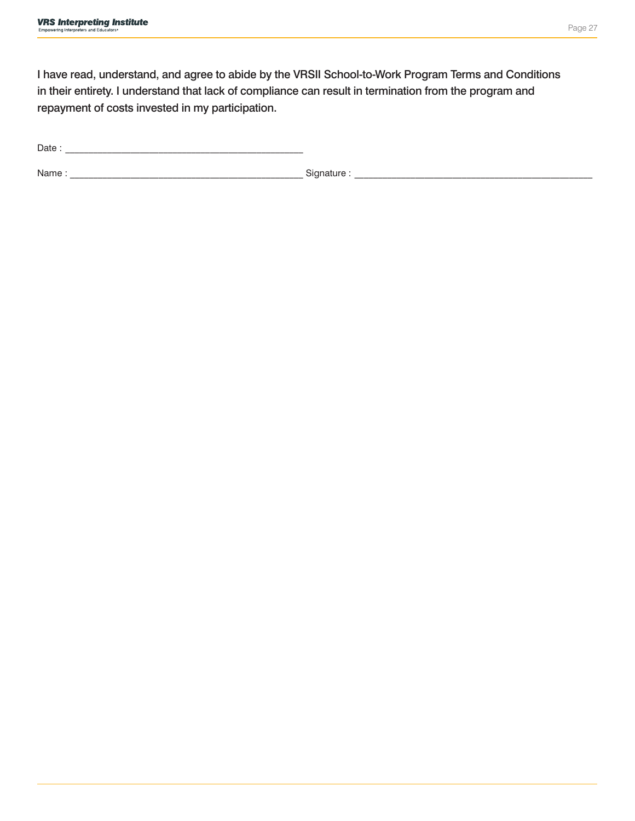I have read, understand, and agree to abide by the VRSII School-to-Work Program Terms and Conditions in their entirety. I understand that lack of compliance can result in termination from the program and repayment of costs invested in my participation.

Date : \_\_\_\_\_\_\_\_\_\_\_\_\_\_\_\_\_\_\_\_\_\_\_\_\_\_\_\_\_\_\_\_\_\_\_\_\_\_\_\_\_\_\_\_\_\_\_\_\_\_\_

Name : \_\_\_\_\_\_\_\_\_\_\_\_\_\_\_\_\_\_\_\_\_\_\_\_\_\_\_\_\_\_\_\_\_\_\_\_\_\_\_\_\_\_\_\_\_\_\_\_\_\_ Signature : \_\_\_\_\_\_\_\_\_\_\_\_\_\_\_\_\_\_\_\_\_\_\_\_\_\_\_\_\_\_\_\_\_\_\_\_\_\_\_\_\_\_\_\_\_\_\_\_\_\_\_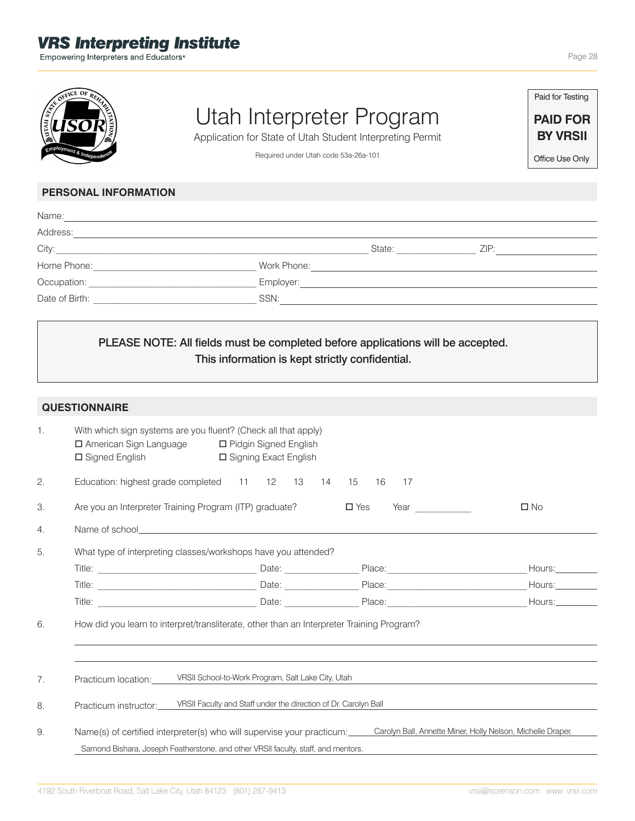# **VRS Interpreting Institute**

Empowering Interpreters and Educators®



# Utah Interpreter Program

Application for State of Utah Student Interpreting Permit

Required under Utah code 53a-26a-101

Paid for Testing

**PAID FOR BY VRSII**

Office Use Only

# **PERSONAL INFORMATION**

| Name:          |                |
|----------------|----------------|
| Address:       |                |
|                | State:<br>ZIP: |
| Home Phone:    | Work Phone:    |
| Occupation:    | Employer:      |
| Date of Birth: | SSN:           |

# PLEASE NOTE: All fields must be completed before applications will be accepted. This information is kept strictly confidential.

|                       | <b>QUESTIONNAIRE</b>                                                                                                                                                                                                       |                                                    |                                       |                   |
|-----------------------|----------------------------------------------------------------------------------------------------------------------------------------------------------------------------------------------------------------------------|----------------------------------------------------|---------------------------------------|-------------------|
| 1.                    | With which sign systems are you fluent? (Check all that apply)<br>□ American Sign Language □ Pidgin Signed English<br>□ Signed English                                                                                     | □ Signing Exact English                            |                                       |                   |
| 2.                    | Education: highest grade completed 11 12 13                                                                                                                                                                                | 14 15                                              | 16<br>17                              |                   |
| 3.                    | Are you an Interpreter Training Program (ITP) graduate?                                                                                                                                                                    |                                                    | $\square$ Yes<br>Year $\qquad \qquad$ | $\square$ No      |
| $\mathcal{A}_{\cdot}$ |                                                                                                                                                                                                                            |                                                    |                                       |                   |
| 5.                    | What type of interpreting classes/workshops have you attended?                                                                                                                                                             |                                                    |                                       |                   |
|                       |                                                                                                                                                                                                                            |                                                    |                                       | House:            |
|                       |                                                                                                                                                                                                                            |                                                    |                                       | Hours:___________ |
|                       |                                                                                                                                                                                                                            |                                                    |                                       | Hours:            |
| 6.                    | How did you learn to interpret/transliterate, other than an Interpreter Training Program?                                                                                                                                  |                                                    |                                       |                   |
| 7.                    | Practicum location:                                                                                                                                                                                                        | VRSII School-to-Work Program, Salt Lake City, Utah |                                       |                   |
| 8.                    | VRSII Faculty and Staff under the direction of Dr. Carolyn Ball<br>Practicum instructor:                                                                                                                                   |                                                    |                                       |                   |
| 9.                    | Name(s) of certified interpreter(s) who will supervise your practicum:<br>Carolyn Ball, Annette Miner, Holly Nelson, Michelle Draper,<br>Samond Bishara, Joseph Featherstone, and other VRSII faculty, staff, and mentors. |                                                    |                                       |                   |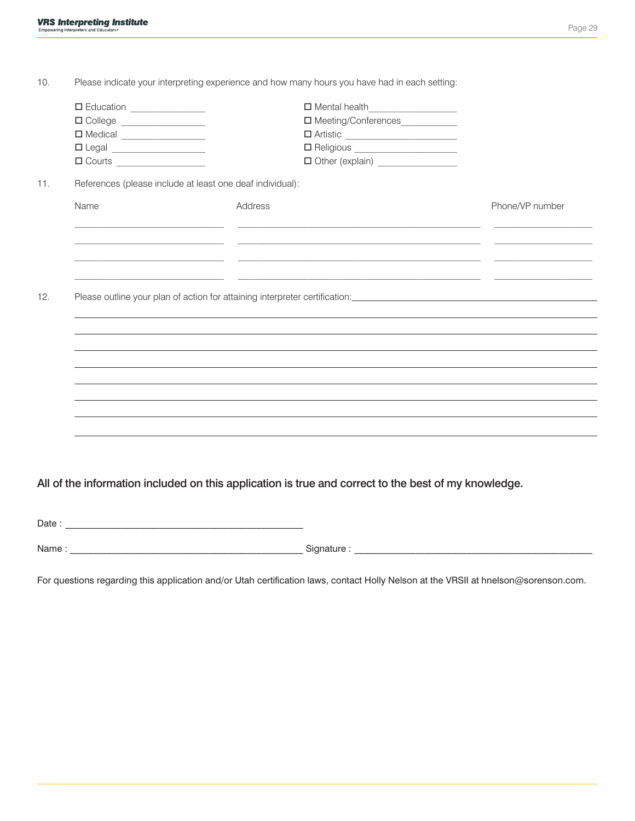| 10.   |                                                                                                                                                                                                                                                                                                                                                                                                                                                                                                                                                                                                     | Please indicate your interpreting experience and how many hours you have had in each setting:                                                                                          |                 |
|-------|-----------------------------------------------------------------------------------------------------------------------------------------------------------------------------------------------------------------------------------------------------------------------------------------------------------------------------------------------------------------------------------------------------------------------------------------------------------------------------------------------------------------------------------------------------------------------------------------------------|----------------------------------------------------------------------------------------------------------------------------------------------------------------------------------------|-----------------|
|       | $\begin{tabular}{ c c } \hline $\blacksquare$ Education & $\rule{3.2mm}{2.25mm}\quad \quad$ & \quad \quad$ \\ \hline \end{tabular}$                                                                                                                                                                                                                                                                                                                                                                                                                                                                 | $\Box$ Mental health                                                                                                                                                                   |                 |
|       | $\begin{tabular}{ c c } \hline \quad \quad & Co lege & \quad \quad & \quad \quad \\ \hline \end{tabular}$                                                                                                                                                                                                                                                                                                                                                                                                                                                                                           | □ Meeting/Conferences____________                                                                                                                                                      |                 |
|       | □ Medical _________________                                                                                                                                                                                                                                                                                                                                                                                                                                                                                                                                                                         |                                                                                                                                                                                        |                 |
|       | $\begin{tabular}{ c c } \hline $\blacksquare$ Legend \begin{tabular}{@{}c@{}} \hline \multicolumn{3}{c }{\textbf{$\sim$}} & \multicolumn{3}{c }{\textbf{$\sim$}} \\ \hline \multicolumn{3}{c }{\textbf{$\sim$}} & \multicolumn{3}{c }{\textbf{$\sim$}} \\ \hline \multicolumn{3}{c }{\textbf{$\sim$}} & \multicolumn{3}{c }{\textbf{$\sim$}} \\ \hline \multicolumn{3}{c }{\textbf{$\sim$}} & \multicolumn{3}{c }{\textbf{$\sim$}} \\ \hline \multicolumn{3}{c }{\textbf{$\sim$}} & \$                                                                                                              |                                                                                                                                                                                        |                 |
|       | $\begin{tabular}{ c c c } \hline $\quad \quad $ & \quad \quad $ & \quad \quad $ & \quad \quad $ \\ \hline \hline $\quad \quad $ & \quad \quad $ & \quad \quad $ & \quad \quad $ & \quad \quad $ \\ \hline $\quad \quad $ & \quad \quad $ & \quad \quad $ & \quad \quad $ & \quad \quad $ \\ \hline $\quad \quad $ & \quad \quad $ & \quad \quad $ & \quad \quad $ & \quad \quad $ & \quad \quad $ & \quad \quad $ \\ \hline $\quad \quad $ & \quad \quad $ & \quad \quad $ & \quad \quad $ & \quad \quad $ & \quad \quad $ & \quad \quad $ & \quad \quad $ & \quad \quad $ & \quad \quad $ & \quad$ | Other (explain) __________________                                                                                                                                                     |                 |
| 11.   |                                                                                                                                                                                                                                                                                                                                                                                                                                                                                                                                                                                                     | References (please include at least one deaf individual):                                                                                                                              |                 |
|       | Name                                                                                                                                                                                                                                                                                                                                                                                                                                                                                                                                                                                                | Address                                                                                                                                                                                | Phone/VP number |
|       |                                                                                                                                                                                                                                                                                                                                                                                                                                                                                                                                                                                                     | <u> 1989 - Johann Stoff, amerikansk politiker (* 1908)</u><br><u> 1990 - Jan James James (f. 1980).</u> 1990 - 1991 - 1992 - 1993 - 1994 - 1995 - 1996 - 1997 - 1998 - 1999 - 1999 - 1 |                 |
|       |                                                                                                                                                                                                                                                                                                                                                                                                                                                                                                                                                                                                     | and the control of the control of the control of the control of the control of the control of the control of the<br><u> 1980 - Jan Stein, Amerikaansk politiker (* 1901)</u>           |                 |
| 12.   |                                                                                                                                                                                                                                                                                                                                                                                                                                                                                                                                                                                                     |                                                                                                                                                                                        |                 |
|       |                                                                                                                                                                                                                                                                                                                                                                                                                                                                                                                                                                                                     |                                                                                                                                                                                        |                 |
|       |                                                                                                                                                                                                                                                                                                                                                                                                                                                                                                                                                                                                     |                                                                                                                                                                                        |                 |
|       |                                                                                                                                                                                                                                                                                                                                                                                                                                                                                                                                                                                                     |                                                                                                                                                                                        |                 |
|       |                                                                                                                                                                                                                                                                                                                                                                                                                                                                                                                                                                                                     |                                                                                                                                                                                        |                 |
|       |                                                                                                                                                                                                                                                                                                                                                                                                                                                                                                                                                                                                     |                                                                                                                                                                                        |                 |
|       |                                                                                                                                                                                                                                                                                                                                                                                                                                                                                                                                                                                                     |                                                                                                                                                                                        |                 |
|       |                                                                                                                                                                                                                                                                                                                                                                                                                                                                                                                                                                                                     |                                                                                                                                                                                        |                 |
|       |                                                                                                                                                                                                                                                                                                                                                                                                                                                                                                                                                                                                     |                                                                                                                                                                                        |                 |
|       |                                                                                                                                                                                                                                                                                                                                                                                                                                                                                                                                                                                                     |                                                                                                                                                                                        |                 |
|       |                                                                                                                                                                                                                                                                                                                                                                                                                                                                                                                                                                                                     |                                                                                                                                                                                        |                 |
|       |                                                                                                                                                                                                                                                                                                                                                                                                                                                                                                                                                                                                     | All of the information included on this application is true and correct to the best of my knowledge.                                                                                   |                 |
|       |                                                                                                                                                                                                                                                                                                                                                                                                                                                                                                                                                                                                     |                                                                                                                                                                                        |                 |
|       |                                                                                                                                                                                                                                                                                                                                                                                                                                                                                                                                                                                                     |                                                                                                                                                                                        |                 |
|       |                                                                                                                                                                                                                                                                                                                                                                                                                                                                                                                                                                                                     |                                                                                                                                                                                        |                 |
| Name: |                                                                                                                                                                                                                                                                                                                                                                                                                                                                                                                                                                                                     | Signature :                                                                                                                                                                            |                 |

For questions regarding this application and/or Utah certification laws, contact Holly Nelson at the VRSII at hnelson@sorenson.com.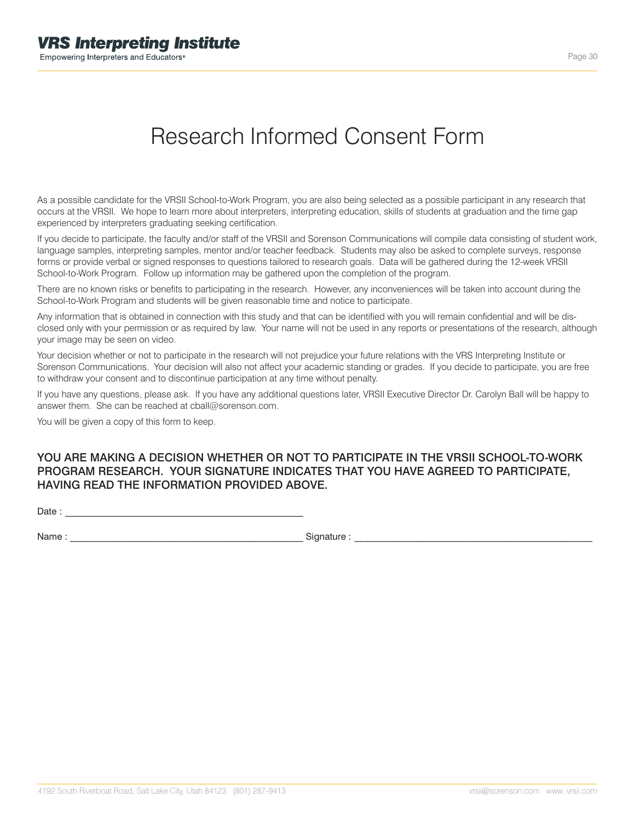# Research Informed Consent Form

As a possible candidate for the VRSII School-to-Work Program, you are also being selected as a possible participant in any research that occurs at the VRSII. We hope to learn more about interpreters, interpreting education, skills of students at graduation and the time gap experienced by interpreters graduating seeking certification.

If you decide to participate, the faculty and/or staff of the VRSII and Sorenson Communications will compile data consisting of student work, language samples, interpreting samples, mentor and/or teacher feedback. Students may also be asked to complete surveys, response forms or provide verbal or signed responses to questions tailored to research goals. Data will be gathered during the 12-week VRSII School-to-Work Program. Follow up information may be gathered upon the completion of the program.

There are no known risks or benefits to participating in the research. However, any inconveniences will be taken into account during the School-to-Work Program and students will be given reasonable time and notice to participate.

Any information that is obtained in connection with this study and that can be identified with you will remain confidential and will be disclosed only with your permission or as required by law. Your name will not be used in any reports or presentations of the research, although your image may be seen on video.

Your decision whether or not to participate in the research will not prejudice your future relations with the VRS Interpreting Institute or Sorenson Communications. Your decision will also not affect your academic standing or grades. If you decide to participate, you are free to withdraw your consent and to discontinue participation at any time without penalty.

If you have any questions, please ask. If you have any additional questions later, VRSII Executive Director Dr. Carolyn Ball will be happy to answer them. She can be reached at cball@sorenson.com.

You will be given a copy of this form to keep.

# YOU ARE MAKING A DECISION WHETHER OR NOT TO PARTICIPATE IN THE VRSII SCHOOL-TO-WORK PROGRAM RESEARCH. YOUR SIGNATURE INDICATES THAT YOU HAVE AGREED TO PARTICIPATE, HAVING READ THE INFORMATION PROVIDED ABOVE.

Date :

Name : \_\_\_\_\_\_\_\_\_\_\_\_\_\_\_\_\_\_\_\_\_\_\_\_\_\_\_\_\_\_\_\_\_\_\_\_\_\_\_\_\_\_\_\_\_\_\_\_\_\_ Signature : \_\_\_\_\_\_\_\_\_\_\_\_\_\_\_\_\_\_\_\_\_\_\_\_\_\_\_\_\_\_\_\_\_\_\_\_\_\_\_\_\_\_\_\_\_\_\_\_\_\_\_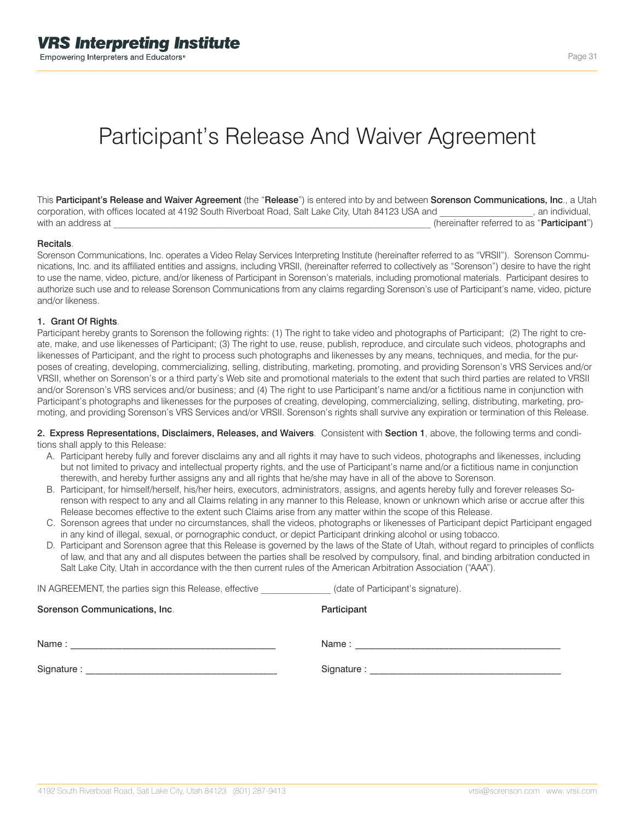# Participant's Release And Waiver Agreement

This Participant's Release and Waiver Agreement (the "Release") is entered into by and between Sorenson Communications, Inc., a Utah corporation, with offices located at 4192 South Riverboat Road, Salt Lake City, Utah 84123 USA and \_\_\_\_\_\_\_\_\_\_\_\_\_\_\_, an individual, with an address at **Participant**") **and the set of the set of the set of the set of the set of the set of the set of the set of the set of the set of the set of the set of the set of the set of the set of the set of the se** 

#### **Recitals**

Sorenson Communications, Inc. operates a Video Relay Services Interpreting Institute (hereinafter referred to as "VRSII"). Sorenson Communications, Inc. and its affiliated entities and assigns, including VRSII, (hereinafter referred to collectively as "Sorenson") desire to have the right to use the name, video, picture, and/or likeness of Participant in Sorenson's materials, including promotional materials. Participant desires to authorize such use and to release Sorenson Communications from any claims regarding Sorenson's use of Participant's name, video, picture and/or likeness.

#### 1. Grant Of Rights.

Participant hereby grants to Sorenson the following rights: (1) The right to take video and photographs of Participant; (2) The right to create, make, and use likenesses of Participant; (3) The right to use, reuse, publish, reproduce, and circulate such videos, photographs and likenesses of Participant, and the right to process such photographs and likenesses by any means, techniques, and media, for the purposes of creating, developing, commercializing, selling, distributing, marketing, promoting, and providing Sorenson's VRS Services and/or VRSII, whether on Sorenson's or a third party's Web site and promotional materials to the extent that such third parties are related to VRSII and/or Sorenson's VRS services and/or business; and (4) The right to use Participant's name and/or a fictitious name in conjunction with Participant's photographs and likenesses for the purposes of creating, developing, commercializing, selling, distributing, marketing, promoting, and providing Sorenson's VRS Services and/or VRSII. Sorenson's rights shall survive any expiration or termination of this Release.

2. Express Representations, Disclaimers, Releases, and Waivers. Consistent with Section 1, above, the following terms and conditions shall apply to this Release:

- A. Participant hereby fully and forever disclaims any and all rights it may have to such videos, photographs and likenesses, including but not limited to privacy and intellectual property rights, and the use of Participant's name and/or a fictitious name in conjunction therewith, and hereby further assigns any and all rights that he/she may have in all of the above to Sorenson.
- B. Participant, for himself/herself, his/her heirs, executors, administrators, assigns, and agents hereby fully and forever releases Sorenson with respect to any and all Claims relating in any manner to this Release, known or unknown which arise or accrue after this Release becomes effective to the extent such Claims arise from any matter within the scope of this Release.
- C. Sorenson agrees that under no circumstances, shall the videos, photographs or likenesses of Participant depict Participant engaged in any kind of illegal, sexual, or pornographic conduct, or depict Participant drinking alcohol or using tobacco.
- D. Participant and Sorenson agree that this Release is governed by the laws of the State of Utah, without regard to principles of conflicts of law, and that any and all disputes between the parties shall be resolved by compulsory, final, and binding arbitration conducted in Salt Lake City, Utah in accordance with the then current rules of the American Arbitration Association ("AAA").

| IN AGREEMENT, the parties sign this Release, effective | (date of Participant's signature). |
|--------------------------------------------------------|------------------------------------|
| Sorenson Communications, Inc.                          | Participant                        |

| Name:      | Name:       |
|------------|-------------|
| Signature: | Signature : |